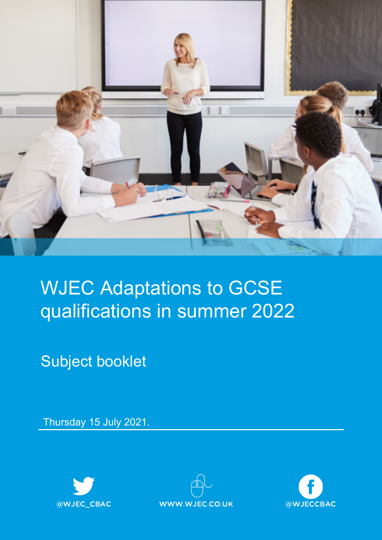

# WJEC Adaptations to GCSE qualifications in summer 2022

Subject booklet

Thursday 15 July 2021.





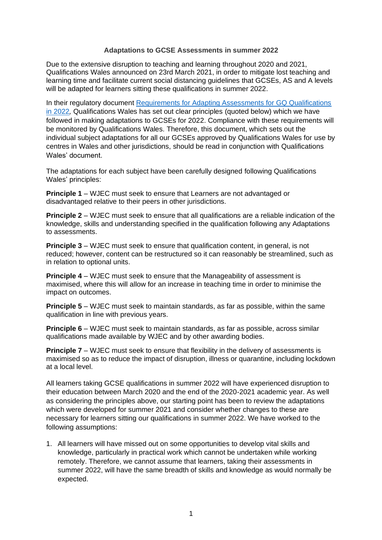#### **Adaptations to GCSE Assessments in summer 2022**

Due to the extensive disruption to teaching and learning throughout 2020 and 2021, Qualifications Wales announced on 23rd March 2021, in order to mitigate lost teaching and learning time and facilitate current social distancing guidelines that GCSEs, AS and A levels will be adapted for learners sitting these qualifications in summer 2022.

In their regulatory document [Requirements for Adapting Assessments for GQ Qualifications](https://protect-eu.mimecast.com/s/8cTOCpQ31In16vEiPVqQW?domain=qualificationswales.org/)  [in 2022](https://protect-eu.mimecast.com/s/8cTOCpQ31In16vEiPVqQW?domain=qualificationswales.org/)*,* Qualifications Wales has set out clear principles (quoted below) which we have followed in making adaptations to GCSEs for 2022. Compliance with these requirements will be monitored by Qualifications Wales. Therefore, this document, which sets out the individual subject adaptations for all our GCSEs approved by Qualifications Wales for use by centres in Wales and other jurisdictions, should be read in conjunction with Qualifications Wales' document.

The adaptations for each subject have been carefully designed following Qualifications Wales' principles:

**Principle 1** – WJEC must seek to ensure that Learners are not advantaged or disadvantaged relative to their peers in other jurisdictions.

**Principle 2** – WJEC must seek to ensure that all qualifications are a reliable indication of the knowledge, skills and understanding specified in the qualification following any Adaptations to assessments.

**Principle 3** – WJEC must seek to ensure that qualification content, in general, is not reduced; however, content can be restructured so it can reasonably be streamlined, such as in relation to optional units.

**Principle 4** – WJEC must seek to ensure that the Manageability of assessment is maximised, where this will allow for an increase in teaching time in order to minimise the impact on outcomes.

**Principle 5** – WJEC must seek to maintain standards, as far as possible, within the same qualification in line with previous years.

**Principle 6** – WJEC must seek to maintain standards, as far as possible, across similar qualifications made available by WJEC and by other awarding bodies.

**Principle 7** – WJEC must seek to ensure that flexibility in the delivery of assessments is maximised so as to reduce the impact of disruption, illness or quarantine, including lockdown at a local level.

All learners taking GCSE qualifications in summer 2022 will have experienced disruption to their education between March 2020 and the end of the 2020-2021 academic year. As well as considering the principles above, our starting point has been to review the adaptations which were developed for summer 2021 and consider whether changes to these are necessary for learners sitting our qualifications in summer 2022. We have worked to the following assumptions:

1. All learners will have missed out on some opportunities to develop vital skills and knowledge, particularly in practical work which cannot be undertaken while working remotely. Therefore, we cannot assume that learners, taking their assessments in summer 2022, will have the same breadth of skills and knowledge as would normally be expected.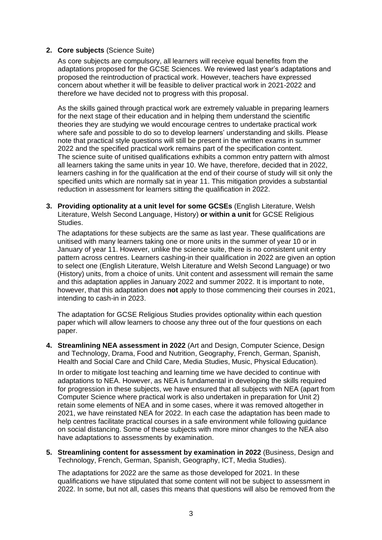#### **2. Core subjects** (Science Suite)

As core subjects are compulsory, all learners will receive equal benefits from the adaptations proposed for the GCSE Sciences. We reviewed last year's adaptations and proposed the reintroduction of practical work. However, teachers have expressed concern about whether it will be feasible to deliver practical work in 2021-2022 and therefore we have decided not to progress with this proposal.

As the skills gained through practical work are extremely valuable in preparing learners for the next stage of their education and in helping them understand the scientific theories they are studying we would encourage centres to undertake practical work where safe and possible to do so to develop learners' understanding and skills. Please note that practical style questions will still be present in the written exams in summer 2022 and the specified practical work remains part of the specification content. The science suite of unitised qualifications exhibits a common entry pattern with almost all learners taking the same units in year 10. We have, therefore, decided that in 2022, learners cashing in for the qualification at the end of their course of study will sit only the specified units which are normally sat in year 11. This mitigation provides a substantial reduction in assessment for learners sitting the qualification in 2022.

**3. Providing optionality at a unit level for some GCSEs** (English Literature, Welsh Literature, Welsh Second Language, History) **or within a unit** for GCSE Religious Studies.

The adaptations for these subjects are the same as last year. These qualifications are unitised with many learners taking one or more units in the summer of year 10 or in January of year 11. However, unlike the science suite, there is no consistent unit entry pattern across centres. Learners cashing-in their qualification in 2022 are given an option to select one (English Literature, Welsh Literature and Welsh Second Language) or two (History) units, from a choice of units. Unit content and assessment will remain the same and this adaptation applies in January 2022 and summer 2022. It is important to note, however, that this adaptation does **not** apply to those commencing their courses in 2021, intending to cash-in in 2023.

The adaptation for GCSE Religious Studies provides optionality within each question paper which will allow learners to choose any three out of the four questions on each paper.

**4. Streamlining NEA assessment in 2022** (Art and Design, Computer Science, Design and Technology, Drama, Food and Nutrition, Geography, French, German, Spanish, Health and Social Care and Child Care, Media Studies, Music, Physical Education).

In order to mitigate lost teaching and learning time we have decided to continue with adaptations to NEA. However, as NEA is fundamental in developing the skills required for progression in these subjects, we have ensured that all subjects with NEA (apart from Computer Science where practical work is also undertaken in preparation for Unit 2) retain some elements of NEA and in some cases, where it was removed altogether in 2021, we have reinstated NEA for 2022. In each case the adaptation has been made to help centres facilitate practical courses in a safe environment while following guidance on social distancing. Some of these subjects with more minor changes to the NEA also have adaptations to assessments by examination.

**5. Streamlining content for assessment by examination in 2022** (Business, Design and Technology, French, German, Spanish, Geography, ICT, Media Studies).

The adaptations for 2022 are the same as those developed for 2021. In these qualifications we have stipulated that some content will not be subject to assessment in 2022. In some, but not all, cases this means that questions will also be removed from the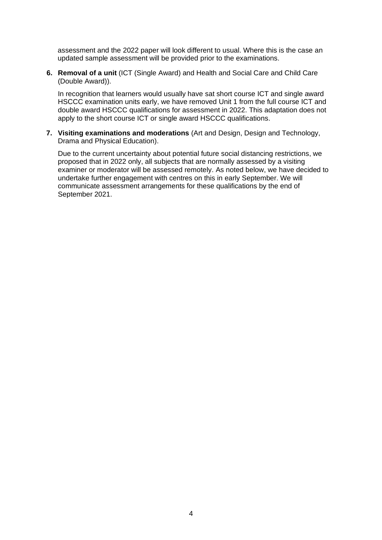assessment and the 2022 paper will look different to usual. Where this is the case an updated sample assessment will be provided prior to the examinations.

**6. Removal of a unit** (ICT (Single Award) and Health and Social Care and Child Care (Double Award)).

In recognition that learners would usually have sat short course ICT and single award HSCCC examination units early, we have removed Unit 1 from the full course ICT and double award HSCCC qualifications for assessment in 2022. This adaptation does not apply to the short course ICT or single award HSCCC qualifications.

**7. Visiting examinations and moderations** (Art and Design, Design and Technology, Drama and Physical Education).

Due to the current uncertainty about potential future social distancing restrictions, we proposed that in 2022 only, all subjects that are normally assessed by a visiting examiner or moderator will be assessed remotely. As noted below, we have decided to undertake further engagement with centres on this in early September. We will communicate assessment arrangements for these qualifications by the end of September 2021.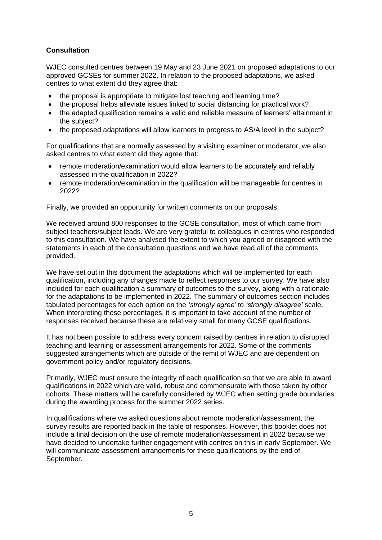# **Consultation**

WJEC consulted centres between 19 May and 23 June 2021 on proposed adaptations to our approved GCSEs for summer 2022. In relation to the proposed adaptations, we asked centres to what extent did they agree that:

- the proposal is appropriate to mitigate lost teaching and learning time?
- the proposal helps alleviate issues linked to social distancing for practical work?
- the adapted qualification remains a valid and reliable measure of learners' attainment in the subject?
- the proposed adaptations will allow learners to progress to AS/A level in the subject?

For qualifications that are normally assessed by a visiting examiner or moderator, we also asked centres to what extent did they agree that:

- remote moderation/examination would allow learners to be accurately and reliably assessed in the qualification in 2022?
- remote moderation/examination in the qualification will be manageable for centres in 2022?

Finally, we provided an opportunity for written comments on our proposals.

We received around 800 responses to the GCSE consultation, most of which came from subject teachers/subject leads. We are very grateful to colleagues in centres who responded to this consultation. We have analysed the extent to which you agreed or disagreed with the statements in each of the consultation questions and we have read all of the comments provided.

We have set out in this document the adaptations which will be implemented for each qualification, including any changes made to reflect responses to our survey. We have also included for each qualification a summary of outcomes to the survey, along with a rationale for the adaptations to be implemented in 2022. The summary of outcomes section includes tabulated percentages for each option on the *'strongly agree'* to *'strongly disagree'* scale. When interpreting these percentages, it is important to take account of the number of responses received because these are relatively small for many GCSE qualifications.

It has not been possible to address every concern raised by centres in relation to disrupted teaching and learning or assessment arrangements for 2022. Some of the comments suggested arrangements which are outside of the remit of WJEC and are dependent on government policy and/or regulatory decisions.

Primarily, WJEC must ensure the integrity of each qualification so that we are able to award qualifications in 2022 which are valid, robust and commensurate with those taken by other cohorts. These matters will be carefully considered by WJEC when setting grade boundaries during the awarding process for the summer 2022 series.

In qualifications where we asked questions about remote moderation/assessment, the survey results are reported back in the table of responses. However, this booklet does not include a final decision on the use of remote moderation/assessment in 2022 because we have decided to undertake further engagement with centres on this in early September. We will communicate assessment arrangements for these qualifications by the end of September.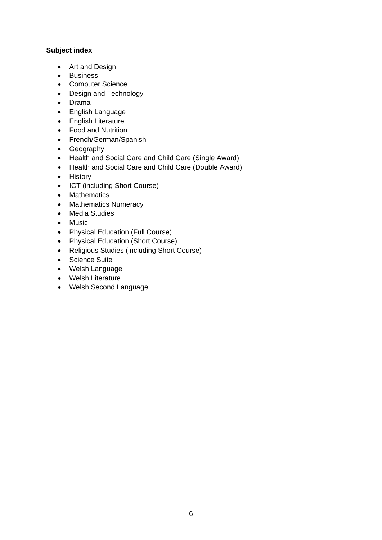# **Subject index**

- Art and Design
- Business
- Computer Science
- Design and Technology
- Drama
- English Language
- English Literature
- Food and Nutrition
- French/German/Spanish
- Geography
- Health and Social Care and Child Care (Single Award)
- Health and Social Care and Child Care (Double Award)
- History
- ICT (including Short Course)
- Mathematics
- Mathematics Numeracy
- Media Studies
- Music
- Physical Education (Full Course)
- Physical Education (Short Course)
- Religious Studies (including Short Course)
- Science Suite
- Welsh Language
- Welsh Literature
- Welsh Second Language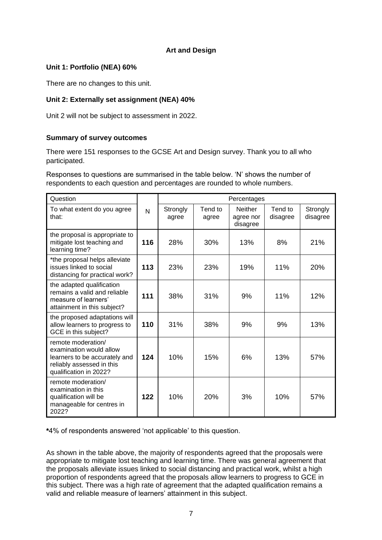# **Art and Design**

#### **Unit 1: Portfolio (NEA) 60%**

There are no changes to this unit.

# **Unit 2: Externally set assignment (NEA) 40%**

Unit 2 will not be subject to assessment in 2022.

#### **Summary of survey outcomes**

There were 151 responses to the GCSE Art and Design survey. Thank you to all who participated.

Responses to questions are summarised in the table below. 'N' shows the number of respondents to each question and percentages are rounded to whole numbers.

| Question                                                                                                                              |     |                   |                  | Percentages                             |                     |                      |
|---------------------------------------------------------------------------------------------------------------------------------------|-----|-------------------|------------------|-----------------------------------------|---------------------|----------------------|
| To what extent do you agree<br>that:                                                                                                  | N   | Strongly<br>agree | Tend to<br>agree | <b>Neither</b><br>agree nor<br>disagree | Tend to<br>disagree | Strongly<br>disagree |
| the proposal is appropriate to<br>mitigate lost teaching and<br>learning time?                                                        | 116 | 28%               | 30%              | 13%                                     | 8%                  | 21%                  |
| *the proposal helps alleviate<br>issues linked to social<br>distancing for practical work?                                            | 113 | 23%               | 23%              | 19%                                     | 11%                 | 20%                  |
| the adapted qualification<br>remains a valid and reliable<br>measure of learners'<br>attainment in this subject?                      | 111 | 38%               | 31%              | 9%                                      | 11%                 | 12%                  |
| the proposed adaptations will<br>allow learners to progress to<br>GCE in this subject?                                                | 110 | 31%               | 38%              | 9%                                      | 9%                  | 13%                  |
| remote moderation/<br>examination would allow<br>learners to be accurately and<br>reliably assessed in this<br>qualification in 2022? | 124 | 10%               | 15%              | 6%                                      | 13%                 | 57%                  |
| remote moderation/<br>examination in this<br>qualification will be<br>manageable for centres in<br>2022?                              | 122 | 10%               | 20%              | 3%                                      | 10%                 | 57%                  |

**\***4% of respondents answered 'not applicable' to this question.

As shown in the table above, the majority of respondents agreed that the proposals were appropriate to mitigate lost teaching and learning time. There was general agreement that the proposals alleviate issues linked to social distancing and practical work, whilst a high proportion of respondents agreed that the proposals allow learners to progress to GCE in this subject. There was a high rate of agreement that the adapted qualification remains a valid and reliable measure of learners' attainment in this subject.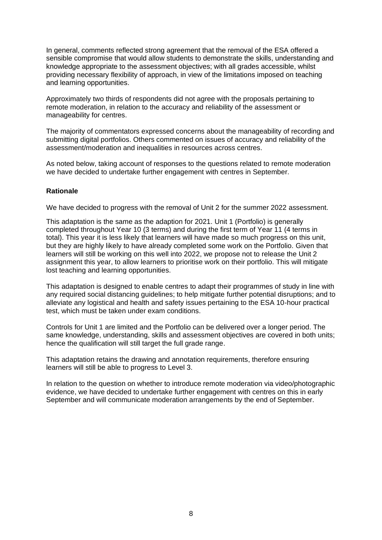In general, comments reflected strong agreement that the removal of the ESA offered a sensible compromise that would allow students to demonstrate the skills, understanding and knowledge appropriate to the assessment objectives; with all grades accessible, whilst providing necessary flexibility of approach, in view of the limitations imposed on teaching and learning opportunities.

Approximately two thirds of respondents did not agree with the proposals pertaining to remote moderation, in relation to the accuracy and reliability of the assessment or manageability for centres.

The majority of commentators expressed concerns about the manageability of recording and submitting digital portfolios. Others commented on issues of accuracy and reliability of the assessment/moderation and inequalities in resources across centres.

As noted below, taking account of responses to the questions related to remote moderation we have decided to undertake further engagement with centres in September.

#### **Rationale**

We have decided to progress with the removal of Unit 2 for the summer 2022 assessment.

This adaptation is the same as the adaption for 2021. Unit 1 (Portfolio) is generally completed throughout Year 10 (3 terms) and during the first term of Year 11 (4 terms in total). This year it is less likely that learners will have made so much progress on this unit, but they are highly likely to have already completed some work on the Portfolio. Given that learners will still be working on this well into 2022, we propose not to release the Unit 2 assignment this year, to allow learners to prioritise work on their portfolio. This will mitigate lost teaching and learning opportunities.

This adaptation is designed to enable centres to adapt their programmes of study in line with any required social distancing guidelines; to help mitigate further potential disruptions; and to alleviate any logistical and health and safety issues pertaining to the ESA 10-hour practical test, which must be taken under exam conditions.

Controls for Unit 1 are limited and the Portfolio can be delivered over a longer period. The same knowledge, understanding, skills and assessment objectives are covered in both units; hence the qualification will still target the full grade range.

This adaptation retains the drawing and annotation requirements, therefore ensuring learners will still be able to progress to Level 3.

In relation to the question on whether to introduce remote moderation via video/photographic evidence, we have decided to undertake further engagement with centres on this in early September and will communicate moderation arrangements by the end of September.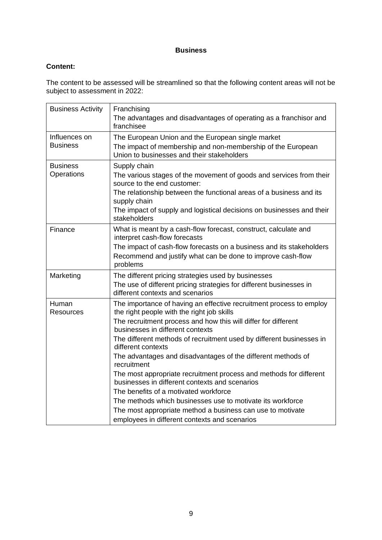# **Business**

# **Content:**

The content to be assessed will be streamlined so that the following content areas will not be subject to assessment in 2022:

| <b>Business Activity</b>         | Franchising<br>The advantages and disadvantages of operating as a franchisor and<br>franchisee                                                                                                                                                                                                                                                                                                                                                                                                                                                                                                                                                                                                                                                     |
|----------------------------------|----------------------------------------------------------------------------------------------------------------------------------------------------------------------------------------------------------------------------------------------------------------------------------------------------------------------------------------------------------------------------------------------------------------------------------------------------------------------------------------------------------------------------------------------------------------------------------------------------------------------------------------------------------------------------------------------------------------------------------------------------|
| Influences on<br><b>Business</b> | The European Union and the European single market<br>The impact of membership and non-membership of the European<br>Union to businesses and their stakeholders                                                                                                                                                                                                                                                                                                                                                                                                                                                                                                                                                                                     |
| <b>Business</b><br>Operations    | Supply chain<br>The various stages of the movement of goods and services from their<br>source to the end customer:<br>The relationship between the functional areas of a business and its<br>supply chain<br>The impact of supply and logistical decisions on businesses and their<br>stakeholders                                                                                                                                                                                                                                                                                                                                                                                                                                                 |
| Finance                          | What is meant by a cash-flow forecast, construct, calculate and<br>interpret cash-flow forecasts<br>The impact of cash-flow forecasts on a business and its stakeholders<br>Recommend and justify what can be done to improve cash-flow<br>problems                                                                                                                                                                                                                                                                                                                                                                                                                                                                                                |
| Marketing                        | The different pricing strategies used by businesses<br>The use of different pricing strategies for different businesses in<br>different contexts and scenarios                                                                                                                                                                                                                                                                                                                                                                                                                                                                                                                                                                                     |
| Human<br><b>Resources</b>        | The importance of having an effective recruitment process to employ<br>the right people with the right job skills<br>The recruitment process and how this will differ for different<br>businesses in different contexts<br>The different methods of recruitment used by different businesses in<br>different contexts<br>The advantages and disadvantages of the different methods of<br>recruitment<br>The most appropriate recruitment process and methods for different<br>businesses in different contexts and scenarios<br>The benefits of a motivated workforce<br>The methods which businesses use to motivate its workforce<br>The most appropriate method a business can use to motivate<br>employees in different contexts and scenarios |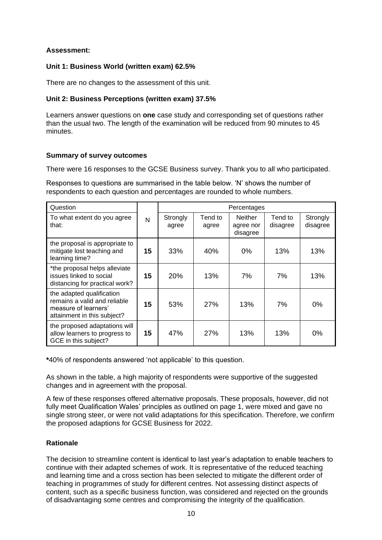#### **Assessment:**

#### **Unit 1: Business World (written exam) 62.5%**

There are no changes to the assessment of this unit.

#### **Unit 2: Business Perceptions (written exam) 37.5%**

Learners answer questions on **one** case study and corresponding set of questions rather than the usual two. The length of the examination will be reduced from 90 minutes to 45 minutes.

#### **Summary of survey outcomes**

There were 16 responses to the GCSE Business survey. Thank you to all who participated.

Responses to questions are summarised in the table below. 'N' shows the number of respondents to each question and percentages are rounded to whole numbers.

| Question                                                                                                         |    |                   |                  | Percentages                             |                     |                      |
|------------------------------------------------------------------------------------------------------------------|----|-------------------|------------------|-----------------------------------------|---------------------|----------------------|
| To what extent do you agree<br>that:                                                                             | N  | Strongly<br>agree | Tend to<br>agree | <b>Neither</b><br>agree nor<br>disagree | Tend to<br>disagree | Strongly<br>disagree |
| the proposal is appropriate to<br>mitigate lost teaching and<br>learning time?                                   | 15 | 33%               | 40%              | 0%                                      | 13%                 | 13%                  |
| *the proposal helps alleviate<br>issues linked to social<br>distancing for practical work?                       | 15 | 20%               | 13%              | 7%                                      | 7%                  | 13%                  |
| the adapted qualification<br>remains a valid and reliable<br>measure of learners'<br>attainment in this subject? | 15 | 53%               | 27%              | 13%                                     | 7%                  | 0%                   |
| the proposed adaptations will<br>allow learners to progress to<br>GCE in this subject?                           | 15 | 47%               | <b>27%</b>       | 13%                                     | 13%                 | $0\%$                |

**\***40% of respondents answered 'not applicable' to this question.

As shown in the table, a high majority of respondents were supportive of the suggested changes and in agreement with the proposal.

A few of these responses offered alternative proposals. These proposals, however, did not fully meet Qualification Wales' principles as outlined on page 1, were mixed and gave no single strong steer, or were not valid adaptations for this specification. Therefore, we confirm the proposed adaptions for GCSE Business for 2022.

# **Rationale**

The decision to streamline content is identical to last year's adaptation to enable teachers to continue with their adapted schemes of work. It is representative of the reduced teaching and learning time and a cross section has been selected to mitigate the different order of teaching in programmes of study for different centres. Not assessing distinct aspects of content, such as a specific business function, was considered and rejected on the grounds of disadvantaging some centres and compromising the integrity of the qualification.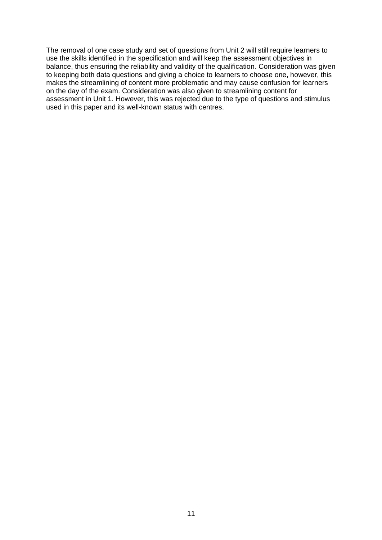The removal of one case study and set of questions from Unit 2 will still require learners to use the skills identified in the specification and will keep the assessment objectives in balance, thus ensuring the reliability and validity of the qualification. Consideration was given to keeping both data questions and giving a choice to learners to choose one, however, this makes the streamlining of content more problematic and may cause confusion for learners on the day of the exam. Consideration was also given to streamlining content for assessment in Unit 1. However, this was rejected due to the type of questions and stimulus used in this paper and its well-known status with centres.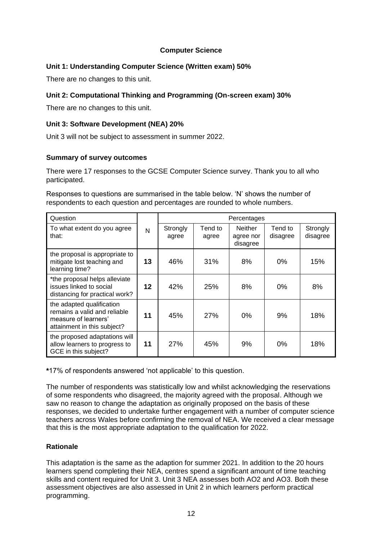# **Computer Science**

# **Unit 1: Understanding Computer Science (Written exam) 50%**

There are no changes to this unit.

# **Unit 2: Computational Thinking and Programming (On-screen exam) 30%**

There are no changes to this unit.

# **Unit 3: Software Development (NEA) 20%**

Unit 3 will not be subject to assessment in summer 2022.

#### **Summary of survey outcomes**

There were 17 responses to the GCSE Computer Science survey. Thank you to all who participated.

Responses to questions are summarised in the table below. 'N' shows the number of respondents to each question and percentages are rounded to whole numbers.

| Question                                                                                                         |    | Percentages       |                  |                                         |                     |                      |  |
|------------------------------------------------------------------------------------------------------------------|----|-------------------|------------------|-----------------------------------------|---------------------|----------------------|--|
| To what extent do you agree<br>that:                                                                             | N  | Strongly<br>agree | Tend to<br>agree | <b>Neither</b><br>agree nor<br>disagree | Tend to<br>disagree | Strongly<br>disagree |  |
| the proposal is appropriate to<br>mitigate lost teaching and<br>learning time?                                   | 13 | 46%               | 31%              | 8%                                      | 0%                  | 15%                  |  |
| *the proposal helps alleviate<br>issues linked to social<br>distancing for practical work?                       | 12 | 42%               | 25%              | 8%                                      | 0%                  | 8%                   |  |
| the adapted qualification<br>remains a valid and reliable<br>measure of learners'<br>attainment in this subject? | 11 | 45%               | 27%              | 0%                                      | 9%                  | 18%                  |  |
| the proposed adaptations will<br>allow learners to progress to<br>GCE in this subject?                           | 11 | 27%               | 45%              | 9%                                      | $0\%$               | 18%                  |  |

**\***17% of respondents answered 'not applicable' to this question.

The number of respondents was statistically low and whilst acknowledging the reservations of some respondents who disagreed, the majority agreed with the proposal. Although we saw no reason to change the adaptation as originally proposed on the basis of these responses, we decided to undertake further engagement with a number of computer science teachers across Wales before confirming the removal of NEA. We received a clear message that this is the most appropriate adaptation to the qualification for 2022.

# **Rationale**

This adaptation is the same as the adaption for summer 2021. In addition to the 20 hours learners spend completing their NEA, centres spend a significant amount of time teaching skills and content required for Unit 3. Unit 3 NEA assesses both AO2 and AO3. Both these assessment objectives are also assessed in Unit 2 in which learners perform practical programming.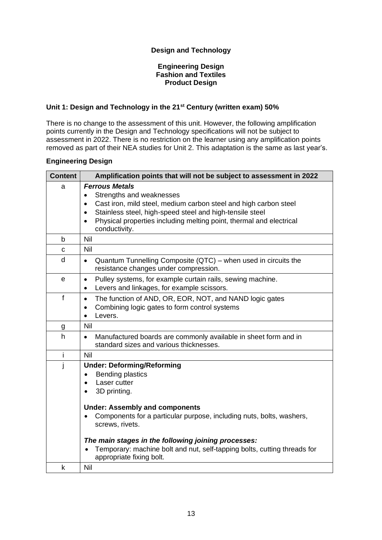# **Design and Technology**

#### **Engineering Design Fashion and Textiles Product Design**

#### **Unit 1: Design and Technology in the 21st Century (written exam) 50%**

There is no change to the assessment of this unit. However, the following amplification points currently in the Design and Technology specifications will not be subject to assessment in 2022. There is no restriction on the learner using any amplification points removed as part of their NEA studies for Unit 2. This adaptation is the same as last year's.

#### **Engineering Design**

| <b>Content</b> | Amplification points that will not be subject to assessment in 2022                                                                                                                                                                                                                                                           |
|----------------|-------------------------------------------------------------------------------------------------------------------------------------------------------------------------------------------------------------------------------------------------------------------------------------------------------------------------------|
| a              | <b>Ferrous Metals</b><br>Strengths and weaknesses<br>$\bullet$<br>Cast iron, mild steel, medium carbon steel and high carbon steel<br>$\bullet$<br>Stainless steel, high-speed steel and high-tensile steel<br>$\bullet$<br>Physical properties including melting point, thermal and electrical<br>$\bullet$<br>conductivity. |
| b              | <b>Nil</b>                                                                                                                                                                                                                                                                                                                    |
| $\mathbf C$    | Nil                                                                                                                                                                                                                                                                                                                           |
| d              | Quantum Tunnelling Composite (QTC) - when used in circuits the<br>$\bullet$<br>resistance changes under compression.                                                                                                                                                                                                          |
| e              | Pulley systems, for example curtain rails, sewing machine.<br>$\bullet$<br>Levers and linkages, for example scissors.<br>$\bullet$                                                                                                                                                                                            |
| f              | The function of AND, OR, EOR, NOT, and NAND logic gates<br>$\bullet$<br>Combining logic gates to form control systems<br>$\bullet$<br>Levers.<br>$\bullet$                                                                                                                                                                    |
| g              | Nil                                                                                                                                                                                                                                                                                                                           |
| $\mathsf{h}$   | Manufactured boards are commonly available in sheet form and in<br>$\bullet$<br>standard sizes and various thicknesses.                                                                                                                                                                                                       |
| i              | Nil                                                                                                                                                                                                                                                                                                                           |
| j              | <b>Under: Deforming/Reforming</b><br><b>Bending plastics</b><br>$\bullet$<br>Laser cutter<br>$\bullet$<br>3D printing.<br>$\bullet$                                                                                                                                                                                           |
|                | <b>Under: Assembly and components</b><br>Components for a particular purpose, including nuts, bolts, washers,<br>screws, rivets.<br>The main stages in the following joining processes:<br>Temporary: machine bolt and nut, self-tapping bolts, cutting threads for                                                           |
| k              | appropriate fixing bolt.<br><b>Nil</b>                                                                                                                                                                                                                                                                                        |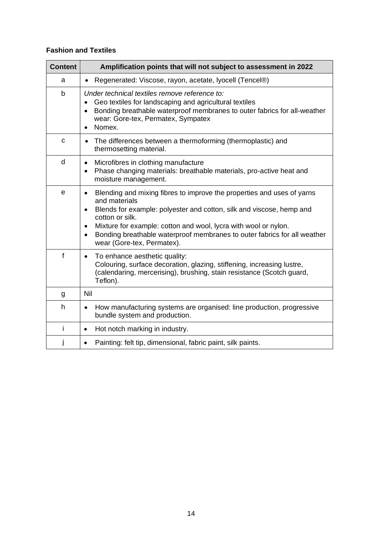# **Fashion and Textiles**

| <b>Content</b> | Amplification points that will not subject to assessment in 2022                                                                                                                                                                                                                                                                                                                                                    |
|----------------|---------------------------------------------------------------------------------------------------------------------------------------------------------------------------------------------------------------------------------------------------------------------------------------------------------------------------------------------------------------------------------------------------------------------|
| a              | Regenerated: Viscose, rayon, acetate, lyocell (Tencel®)<br>$\bullet$                                                                                                                                                                                                                                                                                                                                                |
| b              | Under technical textiles remove reference to:<br>Geo textiles for landscaping and agricultural textiles<br>Bonding breathable waterproof membranes to outer fabrics for all-weather<br>$\bullet$<br>wear: Gore-tex, Permatex, Sympatex<br>Nomex.<br>$\bullet$                                                                                                                                                       |
| $\mathbf C$    | The differences between a thermoforming (thermoplastic) and<br>$\bullet$<br>thermosetting material.                                                                                                                                                                                                                                                                                                                 |
| d              | Microfibres in clothing manufacture<br>$\bullet$<br>Phase changing materials: breathable materials, pro-active heat and<br>$\bullet$<br>moisture management.                                                                                                                                                                                                                                                        |
| e              | Blending and mixing fibres to improve the properties and uses of yarns<br>$\bullet$<br>and materials<br>Blends for example: polyester and cotton, silk and viscose, hemp and<br>$\bullet$<br>cotton or silk.<br>Mixture for example: cotton and wool, lycra with wool or nylon.<br>$\bullet$<br>Bonding breathable waterproof membranes to outer fabrics for all weather<br>$\bullet$<br>wear (Gore-tex, Permatex). |
| $\mathbf{f}$   | To enhance aesthetic quality:<br>$\bullet$<br>Colouring, surface decoration, glazing, stiffening, increasing lustre,<br>(calendaring, mercerising), brushing, stain resistance (Scotch guard,<br>Teflon).                                                                                                                                                                                                           |
| g              | Nil                                                                                                                                                                                                                                                                                                                                                                                                                 |
| h              | How manufacturing systems are organised: line production, progressive<br>$\bullet$<br>bundle system and production.                                                                                                                                                                                                                                                                                                 |
| İ              | Hot notch marking in industry.<br>$\bullet$                                                                                                                                                                                                                                                                                                                                                                         |
| j              | Painting: felt tip, dimensional, fabric paint, silk paints.<br>$\bullet$                                                                                                                                                                                                                                                                                                                                            |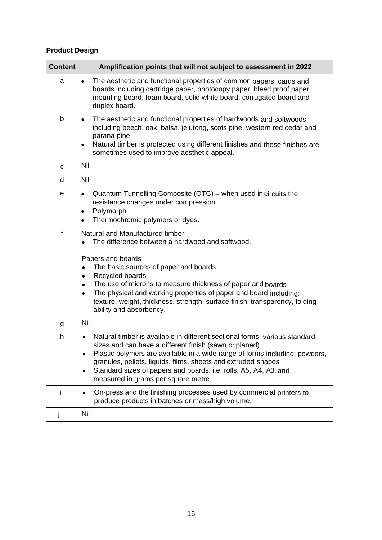# **Product Design**

| <b>Content</b> | Amplification points that will not subject to assessment in 2022                                                                                                                                                                                                                                                                                                                                                                            |
|----------------|---------------------------------------------------------------------------------------------------------------------------------------------------------------------------------------------------------------------------------------------------------------------------------------------------------------------------------------------------------------------------------------------------------------------------------------------|
| а              | The aesthetic and functional properties of common papers, cards and<br>$\bullet$<br>boards including cartridge paper, photocopy paper, bleed proof paper,<br>mounting board, foam board, solid white board, corrugated board and<br>duplex board.                                                                                                                                                                                           |
| b              | The aesthetic and functional properties of hardwoods and softwoods<br>$\bullet$<br>including beech, oak, balsa, jelutong, scots pine, western red cedar and<br>parana pine<br>Natural timber is protected using different finishes and these finishes are<br>sometimes used to improve aesthetic appeal.                                                                                                                                    |
| C              | Nil                                                                                                                                                                                                                                                                                                                                                                                                                                         |
| d              | Nil                                                                                                                                                                                                                                                                                                                                                                                                                                         |
| e              | Quantum Tunnelling Composite (QTC) – when used in circuits the<br>$\bullet$<br>resistance changes under compression<br>Polymorph<br>$\bullet$<br>Thermochromic polymers or dyes.<br>$\bullet$                                                                                                                                                                                                                                               |
| f              | Natural and Manufactured timber<br>The difference between a hardwood and softwood.<br>Papers and boards<br>The basic sources of paper and boards<br>Recycled boards<br>The use of microns to measure thickness of paper and boards<br>$\bullet$<br>The physical and working properties of paper and board including:<br>$\bullet$<br>texture, weight, thickness, strength, surface finish, transparency, folding<br>ability and absorbency. |
| g              | Nil                                                                                                                                                                                                                                                                                                                                                                                                                                         |
| h              | Natural timber is available in different sectional forms, various standard<br>sizes and can have a different finish (sawn or planed)<br>Plastic polymers are available in a wide range of forms including: powders,<br>granules, pellets, liquids, films, sheets and extruded shapes<br>Standard sizes of papers and boards. i.e. rolls, A5, A4, A3. and<br>measured in grams per square metre.                                             |
| T              | On-press and the finishing processes used by commercial printers to<br>produce products in batches or mass/high volume.                                                                                                                                                                                                                                                                                                                     |
| j              | Nil                                                                                                                                                                                                                                                                                                                                                                                                                                         |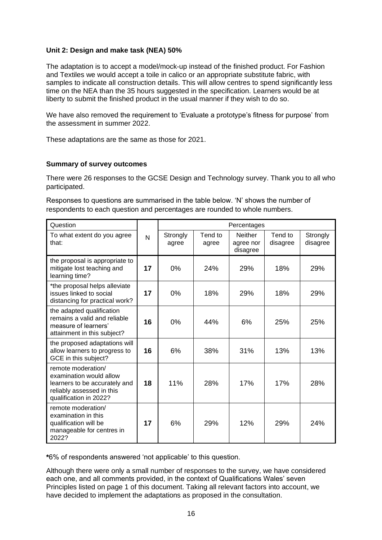#### **Unit 2: Design and make task (NEA) 50%**

The adaptation is to accept a model/mock-up instead of the finished product. For Fashion and Textiles we would accept a toile in calico or an appropriate substitute fabric, with samples to indicate all construction details. This will allow centres to spend significantly less time on the NEA than the 35 hours suggested in the specification. Learners would be at liberty to submit the finished product in the usual manner if they wish to do so.

We have also removed the requirement to 'Evaluate a prototype's fitness for purpose' from the assessment in summer 2022.

These adaptations are the same as those for 2021.

#### **Summary of survey outcomes**

There were 26 responses to the GCSE Design and Technology survey. Thank you to all who participated.

Responses to questions are summarised in the table below. 'N' shows the number of respondents to each question and percentages are rounded to whole numbers.

| Question                                                                                                                              |    |                   |                  | Percentages                             |                     |                      |
|---------------------------------------------------------------------------------------------------------------------------------------|----|-------------------|------------------|-----------------------------------------|---------------------|----------------------|
| To what extent do you agree<br>that:                                                                                                  | N  | Strongly<br>agree | Tend to<br>agree | <b>Neither</b><br>agree nor<br>disagree | Tend to<br>disagree | Strongly<br>disagree |
| the proposal is appropriate to<br>mitigate lost teaching and<br>learning time?                                                        | 17 | 0%                | 24%              | 29%                                     | 18%                 | 29%                  |
| *the proposal helps alleviate<br>issues linked to social<br>distancing for practical work?                                            | 17 | 0%                | 18%              | 29%                                     | 18%                 | 29%                  |
| the adapted qualification<br>remains a valid and reliable<br>measure of learners'<br>attainment in this subject?                      | 16 | $0\%$             | 44%              | 6%                                      | 25%                 | 25%                  |
| the proposed adaptations will<br>allow learners to progress to<br>GCE in this subject?                                                | 16 | 6%                | 38%              | 31%                                     | 13%                 | 13%                  |
| remote moderation/<br>examination would allow<br>learners to be accurately and<br>reliably assessed in this<br>qualification in 2022? | 18 | 11%               | 28%              | 17%                                     | 17%                 | 28%                  |
| remote moderation/<br>examination in this<br>qualification will be<br>manageable for centres in<br>2022?                              | 17 | 6%                | 29%              | 12%                                     | 29%                 | 24%                  |

**\***6% of respondents answered 'not applicable' to this question.

Although there were only a small number of responses to the survey, we have considered each one, and all comments provided, in the context of Qualifications Wales' seven Principles listed on page 1 of this document. Taking all relevant factors into account, we have decided to implement the adaptations as proposed in the consultation.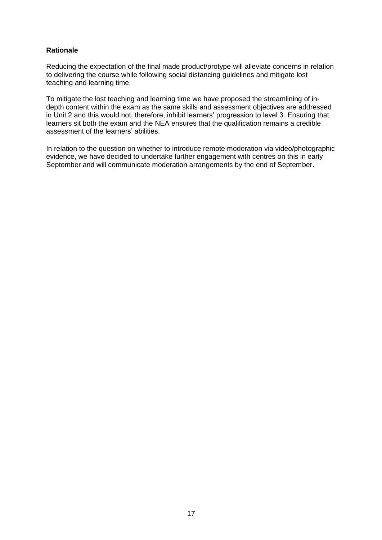#### **Rationale**

Reducing the expectation of the final made product/protype will alleviate concerns in relation to delivering the course while following social distancing guidelines and mitigate lost teaching and learning time.

To mitigate the lost teaching and learning time we have proposed the streamlining of indepth content within the exam as the same skills and assessment objectives are addressed in Unit 2 and this would not, therefore, inhibit learners' progression to level 3. Ensuring that learners sit both the exam and the NEA ensures that the qualification remains a credible assessment of the learners' abilities.

In relation to the question on whether to introduce remote moderation via video/photographic evidence, we have decided to undertake further engagement with centres on this in early September and will communicate moderation arrangements by the end of September.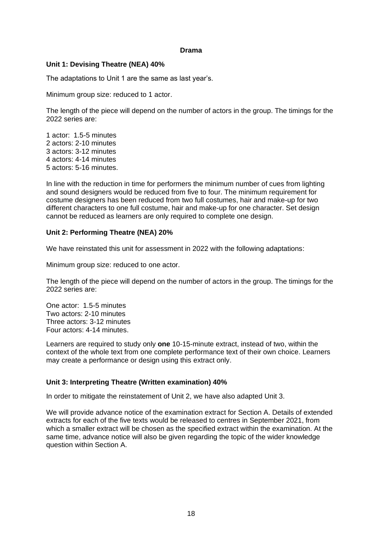#### **Drama**

#### **Unit 1: Devising Theatre (NEA) 40%**

The adaptations to Unit 1 are the same as last year's.

Minimum group size: reduced to 1 actor.

The length of the piece will depend on the number of actors in the group. The timings for the 2022 series are:

1 actor: 1.5-5 minutes 2 actors: 2-10 minutes 3 actors: 3-12 minutes 4 actors: 4-14 minutes 5 actors: 5-16 minutes.

In line with the reduction in time for performers the minimum number of cues from lighting and sound designers would be reduced from five to four. The minimum requirement for costume designers has been reduced from two full costumes, hair and make-up for two different characters to one full costume, hair and make-up for one character. Set design cannot be reduced as learners are only required to complete one design.

#### **Unit 2: Performing Theatre (NEA) 20%**

We have reinstated this unit for assessment in 2022 with the following adaptations:

Minimum group size: reduced to one actor.

The length of the piece will depend on the number of actors in the group. The timings for the 2022 series are:

One actor: 1.5-5 minutes Two actors: 2-10 minutes Three actors: 3-12 minutes Four actors: 4-14 minutes.

Learners are required to study only **one** 10-15-minute extract, instead of two, within the context of the whole text from one complete performance text of their own choice. Learners may create a performance or design using this extract only.

#### **Unit 3: Interpreting Theatre (Written examination) 40%**

In order to mitigate the reinstatement of Unit 2, we have also adapted Unit 3.

We will provide advance notice of the examination extract for Section A. Details of extended extracts for each of the five texts would be released to centres in September 2021, from which a smaller extract will be chosen as the specified extract within the examination. At the same time, advance notice will also be given regarding the topic of the wider knowledge question within Section A.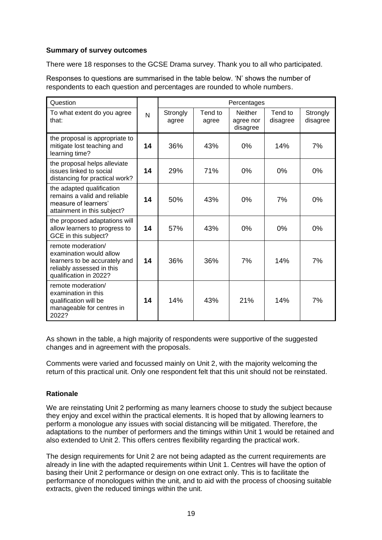#### **Summary of survey outcomes**

There were 18 responses to the GCSE Drama survey. Thank you to all who participated.

Responses to questions are summarised in the table below. 'N' shows the number of respondents to each question and percentages are rounded to whole numbers.

| Question                                                                                                                              |    |                   |                  | Percentages                      |                     |                      |
|---------------------------------------------------------------------------------------------------------------------------------------|----|-------------------|------------------|----------------------------------|---------------------|----------------------|
| To what extent do you agree<br>that:                                                                                                  | N  | Strongly<br>agree | Tend to<br>agree | Neither<br>agree nor<br>disagree | Tend to<br>disagree | Strongly<br>disagree |
| the proposal is appropriate to<br>mitigate lost teaching and<br>learning time?                                                        | 14 | 36%               | 43%              | $0\%$                            | 14%                 | 7%                   |
| the proposal helps alleviate<br>issues linked to social<br>distancing for practical work?                                             | 14 | 29%               | 71%              | $0\%$                            | 0%                  | 0%                   |
| the adapted qualification<br>remains a valid and reliable<br>measure of learners'<br>attainment in this subject?                      | 14 | 50%               | 43%              | 0%                               | 7%                  | 0%                   |
| the proposed adaptations will<br>allow learners to progress to<br>GCE in this subject?                                                | 14 | 57%               | 43%              | $0\%$                            | $0\%$               | 0%                   |
| remote moderation/<br>examination would allow<br>learners to be accurately and<br>reliably assessed in this<br>qualification in 2022? | 14 | 36%               | 36%              | 7%                               | 14%                 | 7%                   |
| remote moderation/<br>examination in this<br>qualification will be<br>manageable for centres in<br>2022?                              | 14 | 14%               | 43%              | 21%                              | 14%                 | 7%                   |

As shown in the table, a high majority of respondents were supportive of the suggested changes and in agreement with the proposals.

Comments were varied and focussed mainly on Unit 2, with the majority welcoming the return of this practical unit. Only one respondent felt that this unit should not be reinstated.

# **Rationale**

We are reinstating Unit 2 performing as many learners choose to study the subject because they enjoy and excel within the practical elements. It is hoped that by allowing learners to perform a monologue any issues with social distancing will be mitigated. Therefore, the adaptations to the number of performers and the timings within Unit 1 would be retained and also extended to Unit 2. This offers centres flexibility regarding the practical work.

The design requirements for Unit 2 are not being adapted as the current requirements are already in line with the adapted requirements within Unit 1. Centres will have the option of basing their Unit 2 performance or design on one extract only. This is to facilitate the performance of monologues within the unit, and to aid with the process of choosing suitable extracts, given the reduced timings within the unit.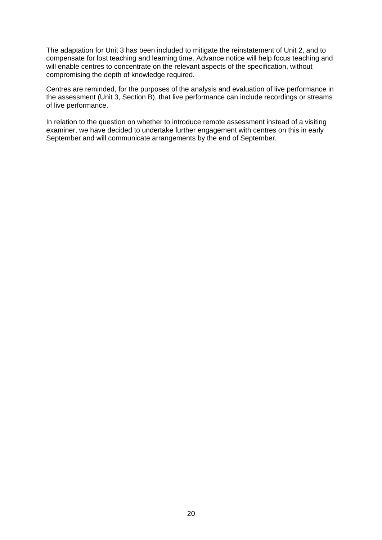The adaptation for Unit 3 has been included to mitigate the reinstatement of Unit 2, and to compensate for lost teaching and learning time. Advance notice will help focus teaching and will enable centres to concentrate on the relevant aspects of the specification, without compromising the depth of knowledge required.

Centres are reminded, for the purposes of the analysis and evaluation of live performance in the assessment (Unit 3, Section B), that live performance can include recordings or streams of live performance.

In relation to the question on whether to introduce remote assessment instead of a visiting examiner, we have decided to undertake further engagement with centres on this in early September and will communicate arrangements by the end of September.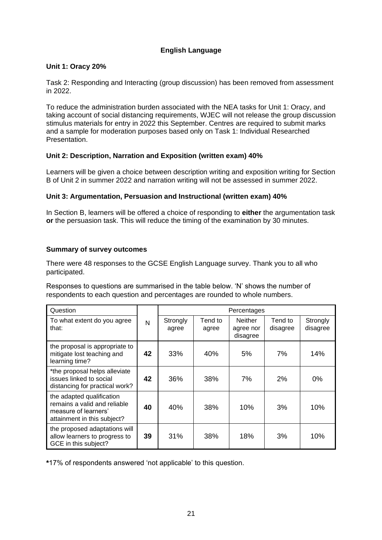# **English Language**

#### **Unit 1: Oracy 20%**

Task 2: Responding and Interacting (group discussion) has been removed from assessment in 2022.

To reduce the administration burden associated with the NEA tasks for Unit 1: Oracy, and taking account of social distancing requirements, WJEC will not release the group discussion stimulus materials for entry in 2022 this September. Centres are required to submit marks and a sample for moderation purposes based only on Task 1: Individual Researched Presentation.

#### **Unit 2: Description, Narration and Exposition (written exam) 40%**

Learners will be given a choice between description writing and exposition writing for Section B of Unit 2 in summer 2022 and narration writing will not be assessed in summer 2022.

# **Unit 3: Argumentation, Persuasion and Instructional (written exam) 40%**

In Section B, learners will be offered a choice of responding to **either** the argumentation task **or** the persuasion task. This will reduce the timing of the examination by 30 minutes.

#### **Summary of survey outcomes**

There were 48 responses to the GCSE English Language survey. Thank you to all who participated.

Responses to questions are summarised in the table below. 'N' shows the number of respondents to each question and percentages are rounded to whole numbers.

| Question                                                                                                         |    | Percentages       |                  |                                         |                     |                      |  |
|------------------------------------------------------------------------------------------------------------------|----|-------------------|------------------|-----------------------------------------|---------------------|----------------------|--|
| To what extent do you agree<br>that:                                                                             | N  | Strongly<br>agree | Tend to<br>agree | <b>Neither</b><br>agree nor<br>disagree | Tend to<br>disagree | Strongly<br>disagree |  |
| the proposal is appropriate to<br>mitigate lost teaching and<br>learning time?                                   | 42 | 33%               | 40%              | 5%                                      | 7%                  | 14%                  |  |
| *the proposal helps alleviate<br>issues linked to social<br>distancing for practical work?                       | 42 | 36%               | 38%              | 7%                                      | 2%                  | 0%                   |  |
| the adapted qualification<br>remains a valid and reliable<br>measure of learners'<br>attainment in this subject? | 40 | 40%               | 38%              | 10%                                     | 3%                  | 10%                  |  |
| the proposed adaptations will<br>allow learners to progress to<br>GCE in this subject?                           | 39 | 31%               | 38%              | 18%                                     | 3%                  | 10%                  |  |

**\***17% of respondents answered 'not applicable' to this question.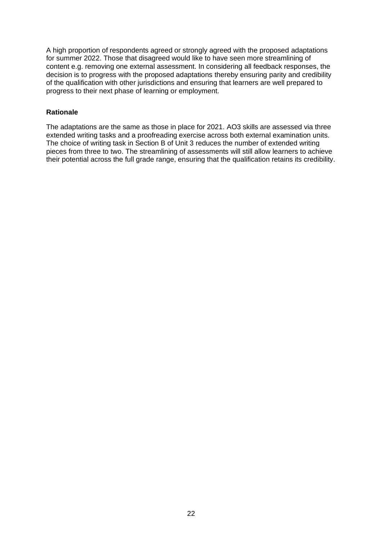A high proportion of respondents agreed or strongly agreed with the proposed adaptations for summer 2022. Those that disagreed would like to have seen more streamlining of content e.g. removing one external assessment. In considering all feedback responses, the decision is to progress with the proposed adaptations thereby ensuring parity and credibility of the qualification with other jurisdictions and ensuring that learners are well prepared to progress to their next phase of learning or employment.

# **Rationale**

The adaptations are the same as those in place for 2021. AO3 skills are assessed via three extended writing tasks and a proofreading exercise across both external examination units. The choice of writing task in Section B of Unit 3 reduces the number of extended writing pieces from three to two. The streamlining of assessments will still allow learners to achieve their potential across the full grade range, ensuring that the qualification retains its credibility.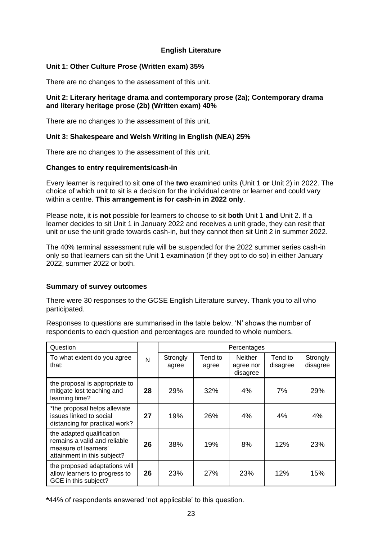#### **English Literature**

#### **Unit 1: Other Culture Prose (Written exam) 35%**

There are no changes to the assessment of this unit.

#### **Unit 2: Literary heritage drama and contemporary prose (2a); Contemporary drama and literary heritage prose (2b) (Written exam) 40%**

There are no changes to the assessment of this unit.

#### **Unit 3: Shakespeare and Welsh Writing in English (NEA) 25%**

There are no changes to the assessment of this unit.

#### **Changes to entry requirements/cash-in**

Every learner is required to sit **one** of the **two** examined units (Unit 1 **or** Unit 2) in 2022. The choice of which unit to sit is a decision for the individual centre or learner and could vary within a centre. **This arrangement is for cash-in in 2022 only**.

Please note, it is **not** possible for learners to choose to sit **both** Unit 1 **and** Unit 2. If a learner decides to sit Unit 1 in January 2022 and receives a unit grade, they can resit that unit or use the unit grade towards cash-in, but they cannot then sit Unit 2 in summer 2022.

The 40% terminal assessment rule will be suspended for the 2022 summer series cash-in only so that learners can sit the Unit 1 examination (if they opt to do so) in either January 2022, summer 2022 or both.

#### **Summary of survey outcomes**

There were 30 responses to the GCSE English Literature survey. Thank you to all who participated.

Responses to questions are summarised in the table below. 'N' shows the number of respondents to each question and percentages are rounded to whole numbers.

| Question                                                                                                         | Percentages |                   |                  |                                         |                     |                      |
|------------------------------------------------------------------------------------------------------------------|-------------|-------------------|------------------|-----------------------------------------|---------------------|----------------------|
| To what extent do you agree<br>that:                                                                             | N           | Strongly<br>agree | Tend to<br>agree | <b>Neither</b><br>agree nor<br>disagree | Tend to<br>disagree | Strongly<br>disagree |
| the proposal is appropriate to<br>mitigate lost teaching and<br>learning time?                                   | 28          | 29%               | 32%              | 4%                                      | 7%                  | 29%                  |
| *the proposal helps alleviate<br>issues linked to social<br>distancing for practical work?                       | 27          | 19%               | 26%              | 4%                                      | 4%                  | 4%                   |
| the adapted qualification<br>remains a valid and reliable<br>measure of learners'<br>attainment in this subject? | 26          | 38%               | 19%              | 8%                                      | 12%                 | 23%                  |
| the proposed adaptations will<br>allow learners to progress to<br>GCE in this subject?                           | 26          | 23%               | 27%              | 23%                                     | 12%                 | 15%                  |

**\***44% of respondents answered 'not applicable' to this question.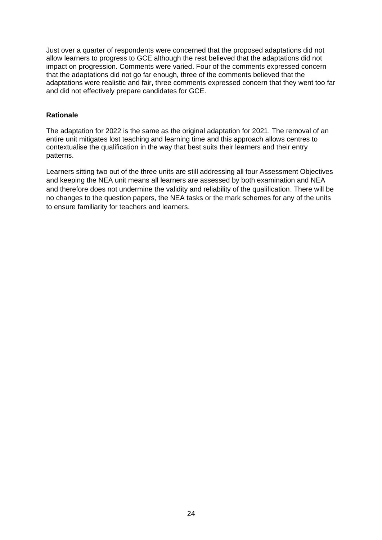Just over a quarter of respondents were concerned that the proposed adaptations did not allow learners to progress to GCE although the rest believed that the adaptations did not impact on progression. Comments were varied. Four of the comments expressed concern that the adaptations did not go far enough, three of the comments believed that the adaptations were realistic and fair, three comments expressed concern that they went too far and did not effectively prepare candidates for GCE.

#### **Rationale**

The adaptation for 2022 is the same as the original adaptation for 2021. The removal of an entire unit mitigates lost teaching and learning time and this approach allows centres to contextualise the qualification in the way that best suits their learners and their entry patterns.

Learners sitting two out of the three units are still addressing all four Assessment Objectives and keeping the NEA unit means all learners are assessed by both examination and NEA and therefore does not undermine the validity and reliability of the qualification. There will be no changes to the question papers, the NEA tasks or the mark schemes for any of the units to ensure familiarity for teachers and learners.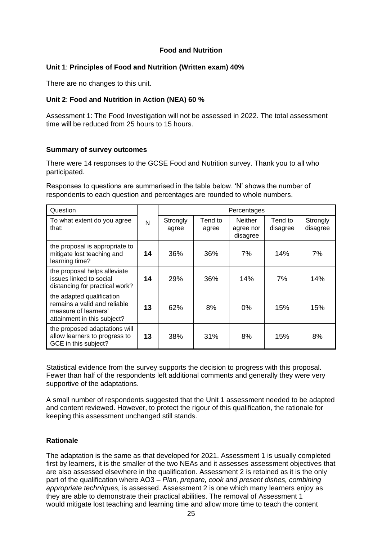#### **Food and Nutrition**

#### **Unit 1**: **Principles of Food and Nutrition (Written exam) 40%**

There are no changes to this unit.

#### **Unit 2**: **Food and Nutrition in Action (NEA) 60 %**

Assessment 1: The Food Investigation will not be assessed in 2022. The total assessment time will be reduced from 25 hours to 15 hours.

#### **Summary of survey outcomes**

There were 14 responses to the GCSE Food and Nutrition survey. Thank you to all who participated.

Responses to questions are summarised in the table below. 'N' shows the number of respondents to each question and percentages are rounded to whole numbers.

| Question                                                                                                         |    | Percentages       |                  |                                         |                     |                      |
|------------------------------------------------------------------------------------------------------------------|----|-------------------|------------------|-----------------------------------------|---------------------|----------------------|
| To what extent do you agree<br>that:                                                                             | N  | Strongly<br>agree | Tend to<br>agree | <b>Neither</b><br>agree nor<br>disagree | Tend to<br>disagree | Strongly<br>disagree |
| the proposal is appropriate to<br>mitigate lost teaching and<br>learning time?                                   | 14 | 36%               | 36%              | 7%                                      | 14%                 | 7%                   |
| the proposal helps alleviate<br>issues linked to social<br>distancing for practical work?                        | 14 | 29%               | 36%              | 14%                                     | 7%                  | 14%                  |
| the adapted qualification<br>remains a valid and reliable<br>measure of learners'<br>attainment in this subject? | 13 | 62%               | 8%               | 0%                                      | 15%                 | 15%                  |
| the proposed adaptations will<br>allow learners to progress to<br>GCE in this subject?                           | 13 | 38%               | 31%              | 8%                                      | 15%                 | 8%                   |

Statistical evidence from the survey supports the decision to progress with this proposal. Fewer than half of the respondents left additional comments and generally they were very supportive of the adaptations.

A small number of respondents suggested that the Unit 1 assessment needed to be adapted and content reviewed. However, to protect the rigour of this qualification, the rationale for keeping this assessment unchanged still stands.

#### **Rationale**

The adaptation is the same as that developed for 2021. Assessment 1 is usually completed first by learners, it is the smaller of the two NEAs and it assesses assessment objectives that are also assessed elsewhere in the qualification. Assessment 2 is retained as it is the only part of the qualification where AO3 – *Plan, prepare, cook and present dishes, combining appropriate techniques,* is assessed. Assessment 2 is one which many learners enjoy as they are able to demonstrate their practical abilities. The removal of Assessment 1 would mitigate lost teaching and learning time and allow more time to teach the content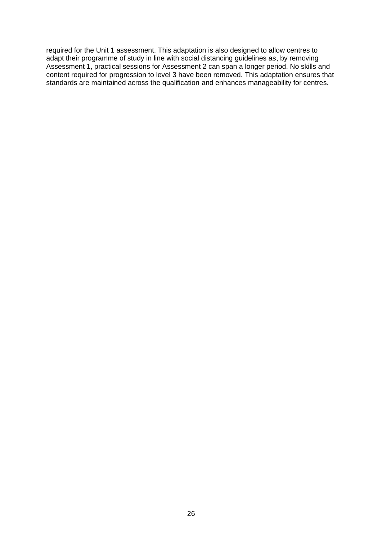required for the Unit 1 assessment. This adaptation is also designed to allow centres to adapt their programme of study in line with social distancing guidelines as, by removing Assessment 1, practical sessions for Assessment 2 can span a longer period. No skills and content required for progression to level 3 have been removed. This adaptation ensures that standards are maintained across the qualification and enhances manageability for centres.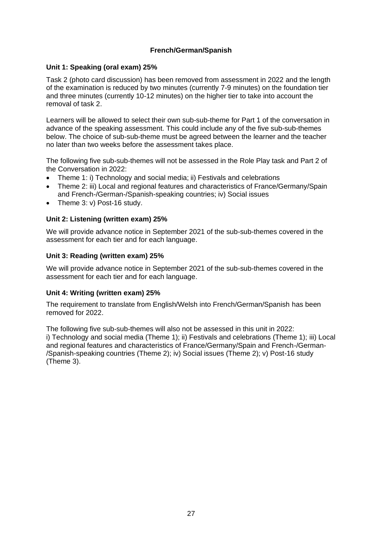#### **French/German/Spanish**

#### **Unit 1: Speaking (oral exam) 25%**

Task 2 (photo card discussion) has been removed from assessment in 2022 and the length of the examination is reduced by two minutes (currently 7-9 minutes) on the foundation tier and three minutes (currently 10-12 minutes) on the higher tier to take into account the removal of task 2.

Learners will be allowed to select their own sub-sub-theme for Part 1 of the conversation in advance of the speaking assessment. This could include any of the five sub-sub-themes below. The choice of sub-sub-theme must be agreed between the learner and the teacher no later than two weeks before the assessment takes place.

The following five sub-sub-themes will not be assessed in the Role Play task and Part 2 of the Conversation in 2022:

- Theme 1: i) Technology and social media; ii) Festivals and celebrations
- Theme 2: iii) Local and regional features and characteristics of France/Germany/Spain and French-/German-/Spanish-speaking countries; iv) Social issues
- Theme 3: v) Post-16 study.

#### **Unit 2: Listening (written exam) 25%**

We will provide advance notice in September 2021 of the sub-sub-themes covered in the assessment for each tier and for each language.

#### **Unit 3: Reading (written exam) 25%**

We will provide advance notice in September 2021 of the sub-sub-themes covered in the assessment for each tier and for each language.

#### **Unit 4: Writing (written exam) 25%**

The requirement to translate from English/Welsh into French/German/Spanish has been removed for 2022.

The following five sub-sub-themes will also not be assessed in this unit in 2022: i) Technology and social media (Theme 1); ii) Festivals and celebrations (Theme 1); iii) Local and regional features and characteristics of France/Germany/Spain and French-/German- /Spanish-speaking countries (Theme 2); iv) Social issues (Theme 2); v) Post-16 study (Theme 3).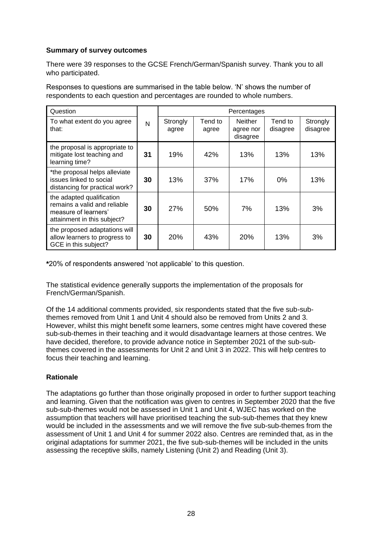# **Summary of survey outcomes**

There were 39 responses to the GCSE French/German/Spanish survey. Thank you to all who participated.

Responses to questions are summarised in the table below. 'N' shows the number of respondents to each question and percentages are rounded to whole numbers.

| Question                                                                                                         |    |                   |                  | Percentages                      |                     |                      |
|------------------------------------------------------------------------------------------------------------------|----|-------------------|------------------|----------------------------------|---------------------|----------------------|
| To what extent do you agree<br>that:                                                                             | N  | Strongly<br>agree | Tend to<br>agree | Neither<br>agree nor<br>disagree | Tend to<br>disagree | Strongly<br>disagree |
| the proposal is appropriate to<br>mitigate lost teaching and<br>learning time?                                   | 31 | 19%               | 42%              | 13%                              | 13%                 | 13%                  |
| *the proposal helps alleviate<br>issues linked to social<br>distancing for practical work?                       | 30 | 13%               | 37%              | 17%                              | $0\%$               | 13%                  |
| the adapted qualification<br>remains a valid and reliable<br>measure of learners'<br>attainment in this subject? | 30 | 27%               | 50%              | 7%                               | 13%                 | 3%                   |
| the proposed adaptations will<br>allow learners to progress to<br>GCE in this subject?                           | 30 | 20%               | 43%              | <b>20%</b>                       | 13%                 | 3%                   |

**\***20% of respondents answered 'not applicable' to this question.

The statistical evidence generally supports the implementation of the proposals for French/German/Spanish.

Of the 14 additional comments provided, six respondents stated that the five sub-subthemes removed from Unit 1 and Unit 4 should also be removed from Units 2 and 3. However, whilst this might benefit some learners, some centres might have covered these sub-sub-themes in their teaching and it would disadvantage learners at those centres. We have decided, therefore, to provide advance notice in September 2021 of the sub-subthemes covered in the assessments for Unit 2 and Unit 3 in 2022. This will help centres to focus their teaching and learning.

#### **Rationale**

The adaptations go further than those originally proposed in order to further support teaching and learning. Given that the notification was given to centres in September 2020 that the five sub-sub-themes would not be assessed in Unit 1 and Unit 4, WJEC has worked on the assumption that teachers will have prioritised teaching the sub-sub-themes that they knew would be included in the assessments and we will remove the five sub-sub-themes from the assessment of Unit 1 and Unit 4 for summer 2022 also. Centres are reminded that, as in the original adaptations for summer 2021, the five sub-sub-themes will be included in the units assessing the receptive skills, namely Listening (Unit 2) and Reading (Unit 3).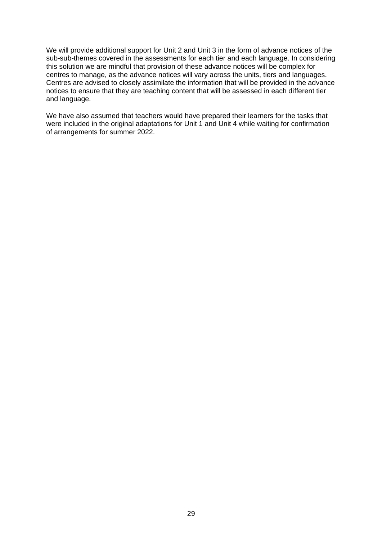We will provide additional support for Unit 2 and Unit 3 in the form of advance notices of the sub-sub-themes covered in the assessments for each tier and each language. In considering this solution we are mindful that provision of these advance notices will be complex for centres to manage, as the advance notices will vary across the units, tiers and languages. Centres are advised to closely assimilate the information that will be provided in the advance notices to ensure that they are teaching content that will be assessed in each different tier and language.

We have also assumed that teachers would have prepared their learners for the tasks that were included in the original adaptations for Unit 1 and Unit 4 while waiting for confirmation of arrangements for summer 2022.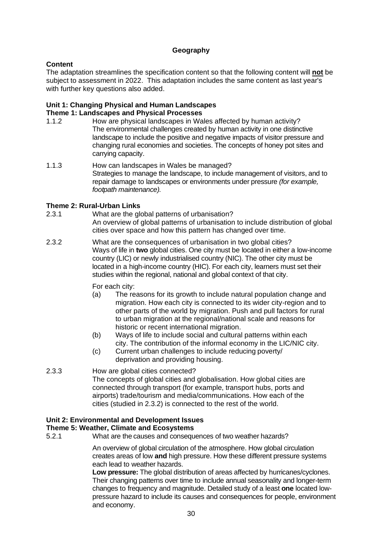#### **Geography**

#### **Content**

The adaptation streamlines the specification content so that the following content will **not** be subject to assessment in 2022. This adaptation includes the same content as last year's with further key questions also added.

#### **Unit 1: Changing Physical and Human Landscapes Theme 1: Landscapes and Physical Processes**

- 1.1.2 How are physical landscapes in Wales affected by human activity? The environmental challenges created by human activity in one distinctive landscape to include the positive and negative impacts of visitor pressure and changing rural economies and societies. The concepts of honey pot sites and carrying capacity.
- 1.1.3 How can landscapes in Wales be managed? Strategies to manage the landscape, to include management of visitors, and to repair damage to landscapes or environments under pressure *(for example, footpath maintenance).*

# **Theme 2: Rural-Urban Links**<br>2.3.1 What are the gla

- What are the global patterns of urbanisation? An overview of global patterns of urbanisation to include distribution of global cities over space and how this pattern has changed over time.
- 2.3.2 What are the consequences of urbanisation in two global cities? Ways of life in **two** global cities. One city must be located in either a low-income country (LIC) or newly industrialised country (NIC). The other city must be located in a high-income country (HIC). For each city, learners must set their studies within the regional, national and global context of that city.

For each city:

- (a) The reasons for its growth to include natural population change and migration. How each city is connected to its wider city-region and to other parts of the world by migration. Push and pull factors for rural to urban migration at the regional/national scale and reasons for historic or recent international migration.
- (b) Ways of life to include social and cultural patterns within each city. The contribution of the informal economy in the LIC/NIC city.
- (c) Current urban challenges to include reducing poverty/ deprivation and providing housing.
- 2.3.3 How are global cities connected? The concepts of global cities and globalisation. How global cities are connected through transport (for example, transport hubs, ports and airports) trade/tourism and media/communications. How each of the cities (studied in 2.3.2) is connected to the rest of the world.

#### **Unit 2: Environmental and Development Issues**

#### **Theme 5: Weather, Climate and Ecosystems**

5.2.1 What are the causes and consequences of two weather hazards?

An overview of global circulation of the atmosphere. How global circulation creates areas of low **and** high pressure. How these different pressure systems each lead to weather hazards.

**Low pressure:** The global distribution of areas affected by hurricanes/cyclones. Their changing patterns over time to include annual seasonality and longer-term changes to frequency and magnitude. Detailed study of a least **one** located lowpressure hazard to include its causes and consequences for people, environment and economy.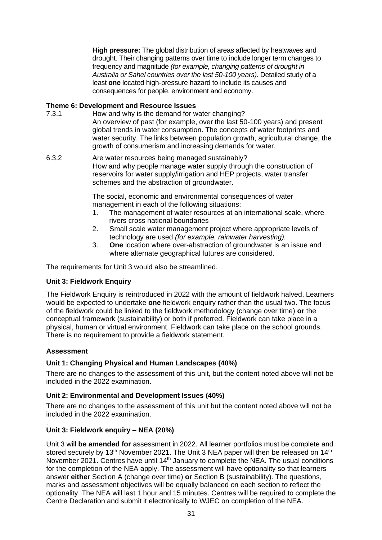**High pressure:** The global distribution of areas affected by heatwaves and drought. Their changing patterns over time to include longer term changes to frequency and magnitude *(for example, changing patterns of drought in Australia or Sahel countries over the last 50-100 years).* Detailed study of a least **one** located high-pressure hazard to include its causes and consequences for people, environment and economy.

#### **Theme 6: Development and Resource Issues**

- 7.3.1 How and why is the demand for water changing? An overview of past (for example, over the last 50-100 years) and present global trends in water consumption. The concepts of water footprints and water security. The links between population growth, agricultural change, the growth of consumerism and increasing demands for water.
- 6.3.2 Are water resources being managed sustainably? How and why people manage water supply through the construction of reservoirs for water supply/irrigation and HEP projects, water transfer schemes and the abstraction of groundwater.

The social, economic and environmental consequences of water management in each of the following situations:

- 1. The management of water resources at an international scale, where rivers cross national boundaries
- 2. Small scale water management project where appropriate levels of technology are used *(for example, rainwater harvesting).*
- 3. **One** location where over-abstraction of groundwater is an issue and where alternate geographical futures are considered.

The requirements for Unit 3 would also be streamlined.

# **Unit 3: Fieldwork Enquiry**

The Fieldwork Enquiry is reintroduced in 2022 with the amount of fieldwork halved. Learners would be expected to undertake **one** fieldwork enquiry rather than the usual two. The focus of the fieldwork could be linked to the fieldwork methodology (change over time) **or** the conceptual framework (sustainability) or both if preferred. Fieldwork can take place in a physical, human or virtual environment. Fieldwork can take place on the school grounds. There is no requirement to provide a fieldwork statement.

#### **Assessment**

# **Unit 1: Changing Physical and Human Landscapes (40%)**

There are no changes to the assessment of this unit, but the content noted above will not be included in the 2022 examination.

#### **Unit 2: Environmental and Development Issues (40%)**

There are no changes to the assessment of this unit but the content noted above will not be included in the 2022 examination.

#### . **Unit 3: Fieldwork enquiry – NEA (20%)**

Unit 3 will **be amended for** assessment in 2022. All learner portfolios must be complete and stored securely by 13<sup>th</sup> November 2021. The Unit 3 NEA paper will then be released on 14<sup>th</sup> November 2021. Centres have until 14<sup>th</sup> January to complete the NEA. The usual conditions for the completion of the NEA apply. The assessment will have optionality so that learners answer **either** Section A (change over time) **or** Section B (sustainability). The questions, marks and assessment objectives will be equally balanced on each section to reflect the optionality. The NEA will last 1 hour and 15 minutes. Centres will be required to complete the Centre Declaration and submit it electronically to WJEC on completion of the NEA.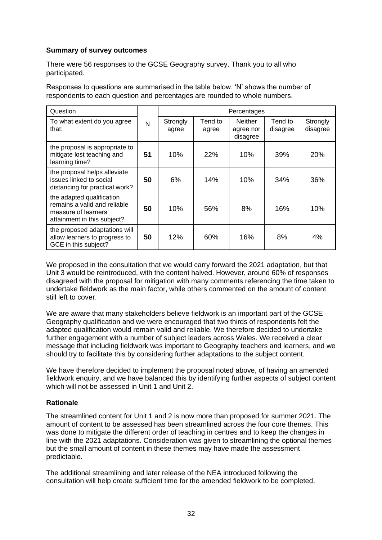#### **Summary of survey outcomes**

There were 56 responses to the GCSE Geography survey. Thank you to all who participated.

Responses to questions are summarised in the table below. 'N' shows the number of respondents to each question and percentages are rounded to whole numbers.

| Question                                                                                                         |    |                   |                  | Percentages                             |                     |                      |
|------------------------------------------------------------------------------------------------------------------|----|-------------------|------------------|-----------------------------------------|---------------------|----------------------|
| To what extent do you agree<br>that:                                                                             | N  | Strongly<br>agree | Tend to<br>agree | <b>Neither</b><br>agree nor<br>disagree | Tend to<br>disagree | Strongly<br>disagree |
| the proposal is appropriate to<br>mitigate lost teaching and<br>learning time?                                   | 51 | 10%               | 22%              | 10%                                     | 39%                 | 20%                  |
| the proposal helps alleviate<br>issues linked to social<br>distancing for practical work?                        | 50 | 6%                | 14%              | 10%                                     | 34%                 | 36%                  |
| the adapted qualification<br>remains a valid and reliable<br>measure of learners'<br>attainment in this subject? | 50 | 10%               | 56%              | 8%                                      | 16%                 | 10%                  |
| the proposed adaptations will<br>allow learners to progress to<br>GCE in this subject?                           | 50 | 12%               | 60%              | 16%                                     | 8%                  | 4%                   |

We proposed in the consultation that we would carry forward the 2021 adaptation, but that Unit 3 would be reintroduced, with the content halved. However, around 60% of responses disagreed with the proposal for mitigation with many comments referencing the time taken to undertake fieldwork as the main factor, while others commented on the amount of content still left to cover.

We are aware that many stakeholders believe fieldwork is an important part of the GCSE Geography qualification and we were encouraged that two thirds of respondents felt the adapted qualification would remain valid and reliable. We therefore decided to undertake further engagement with a number of subject leaders across Wales. We received a clear message that including fieldwork was important to Geography teachers and learners, and we should try to facilitate this by considering further adaptations to the subject content.

We have therefore decided to implement the proposal noted above, of having an amended fieldwork enquiry, and we have balanced this by identifying further aspects of subject content which will not be assessed in Unit 1 and Unit 2.

#### **Rationale**

The streamlined content for Unit 1 and 2 is now more than proposed for summer 2021. The amount of content to be assessed has been streamlined across the four core themes. This was done to mitigate the different order of teaching in centres and to keep the changes in line with the 2021 adaptations. Consideration was given to streamlining the optional themes but the small amount of content in these themes may have made the assessment predictable.

The additional streamlining and later release of the NEA introduced following the consultation will help create sufficient time for the amended fieldwork to be completed.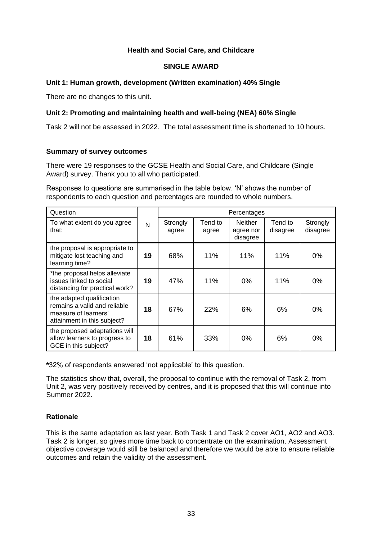#### **Health and Social Care, and Childcare**

#### **SINGLE AWARD**

#### **Unit 1: Human growth, development (Written examination) 40% Single**

There are no changes to this unit.

# **Unit 2: Promoting and maintaining health and well-being (NEA) 60% Single**

Task 2 will not be assessed in 2022. The total assessment time is shortened to 10 hours.

#### **Summary of survey outcomes**

There were 19 responses to the GCSE Health and Social Care, and Childcare (Single Award) survey. Thank you to all who participated.

Responses to questions are summarised in the table below. 'N' shows the number of respondents to each question and percentages are rounded to whole numbers.

| Question                                                                                                         |    |                   |                  | Percentages                             |                     |                      |
|------------------------------------------------------------------------------------------------------------------|----|-------------------|------------------|-----------------------------------------|---------------------|----------------------|
| To what extent do you agree<br>that:                                                                             | N  | Strongly<br>agree | Tend to<br>agree | <b>Neither</b><br>agree nor<br>disagree | Tend to<br>disagree | Strongly<br>disagree |
| the proposal is appropriate to<br>mitigate lost teaching and<br>learning time?                                   | 19 | 68%               | 11%              | 11%                                     | 11%                 | $0\%$                |
| *the proposal helps alleviate<br>issues linked to social<br>distancing for practical work?                       | 19 | 47%               | 11%              | 0%                                      | 11%                 | 0%                   |
| the adapted qualification<br>remains a valid and reliable<br>measure of learners'<br>attainment in this subject? | 18 | 67%               | 22%              | 6%                                      | 6%                  | 0%                   |
| the proposed adaptations will<br>allow learners to progress to<br>GCE in this subject?                           | 18 | 61%               | 33%              | 0%                                      | 6%                  | 0%                   |

**\***32% of respondents answered 'not applicable' to this question.

The statistics show that, overall, the proposal to continue with the removal of Task 2, from Unit 2, was very positively received by centres, and it is proposed that this will continue into Summer 2022.

# **Rationale**

This is the same adaptation as last year. Both Task 1 and Task 2 cover AO1, AO2 and AO3. Task 2 is longer, so gives more time back to concentrate on the examination. Assessment objective coverage would still be balanced and therefore we would be able to ensure reliable outcomes and retain the validity of the assessment.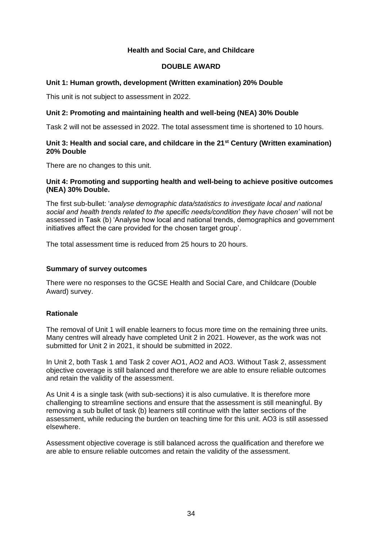#### **Health and Social Care, and Childcare**

#### **DOUBLE AWARD**

#### **Unit 1: Human growth, development (Written examination) 20% Double**

This unit is not subject to assessment in 2022.

#### **Unit 2: Promoting and maintaining health and well-being (NEA) 30% Double**

Task 2 will not be assessed in 2022. The total assessment time is shortened to 10 hours.

#### **Unit 3: Health and social care, and childcare in the 21st Century (Written examination) 20% Double**

There are no changes to this unit.

#### **Unit 4: Promoting and supporting health and well-being to achieve positive outcomes (NEA) 30% Double.**

The first sub-bullet: '*analyse demographic data/statistics to investigate local and national social and health trends related to the specific needs/condition they have chosen'* will not be assessed in Task (b) 'Analyse how local and national trends, demographics and government initiatives affect the care provided for the chosen target group'.

The total assessment time is reduced from 25 hours to 20 hours.

#### **Summary of survey outcomes**

There were no responses to the GCSE Health and Social Care, and Childcare (Double Award) survey.

#### **Rationale**

The removal of Unit 1 will enable learners to focus more time on the remaining three units. Many centres will already have completed Unit 2 in 2021. However, as the work was not submitted for Unit 2 in 2021, it should be submitted in 2022.

In Unit 2, both Task 1 and Task 2 cover AO1, AO2 and AO3. Without Task 2, assessment objective coverage is still balanced and therefore we are able to ensure reliable outcomes and retain the validity of the assessment.

As Unit 4 is a single task (with sub-sections) it is also cumulative. It is therefore more challenging to streamline sections and ensure that the assessment is still meaningful. By removing a sub bullet of task (b) learners still continue with the latter sections of the assessment, while reducing the burden on teaching time for this unit. AO3 is still assessed elsewhere.

Assessment objective coverage is still balanced across the qualification and therefore we are able to ensure reliable outcomes and retain the validity of the assessment.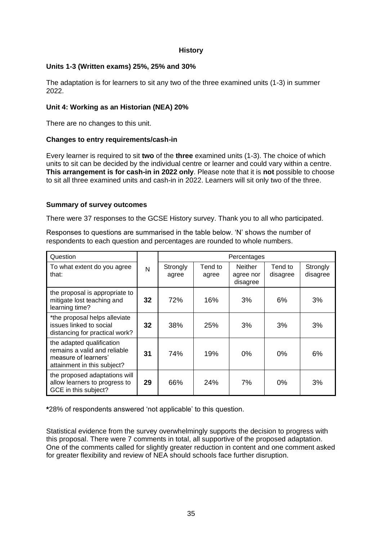#### **History**

#### **Units 1-3 (Written exams) 25%, 25% and 30%**

The adaptation is for learners to sit any two of the three examined units (1-3) in summer 2022.

#### **Unit 4: Working as an Historian (NEA) 20%**

There are no changes to this unit.

#### **Changes to entry requirements/cash-in**

Every learner is required to sit **two** of the **three** examined units (1-3). The choice of which units to sit can be decided by the individual centre or learner and could vary within a centre. **This arrangement is for cash-in in 2022 only**. Please note that it is **not** possible to choose to sit all three examined units and cash-in in 2022. Learners will sit only two of the three.

#### **Summary of survey outcomes**

There were 37 responses to the GCSE History survey. Thank you to all who participated.

Responses to questions are summarised in the table below. 'N' shows the number of respondents to each question and percentages are rounded to whole numbers.

| Question                                                                                                         |    | Percentages       |                  |                                         |                     |                      |
|------------------------------------------------------------------------------------------------------------------|----|-------------------|------------------|-----------------------------------------|---------------------|----------------------|
| To what extent do you agree<br>that:                                                                             | N  | Strongly<br>agree | Tend to<br>agree | <b>Neither</b><br>agree nor<br>disagree | Tend to<br>disagree | Strongly<br>disagree |
| the proposal is appropriate to<br>mitigate lost teaching and<br>learning time?                                   | 32 | 72%               | 16%              | 3%                                      | 6%                  | 3%                   |
| *the proposal helps alleviate<br>issues linked to social<br>distancing for practical work?                       | 32 | 38%               | 25%              | 3%                                      | 3%                  | 3%                   |
| the adapted qualification<br>remains a valid and reliable<br>measure of learners'<br>attainment in this subject? | 31 | 74%               | 19%              | 0%                                      | 0%                  | 6%                   |
| the proposed adaptations will<br>allow learners to progress to<br>GCE in this subject?                           | 29 | 66%               | 24%              | 7%                                      | 0%                  | 3%                   |

**\***28% of respondents answered 'not applicable' to this question.

Statistical evidence from the survey overwhelmingly supports the decision to progress with this proposal. There were 7 comments in total, all supportive of the proposed adaptation. One of the comments called for slightly greater reduction in content and one comment asked for greater flexibility and review of NEA should schools face further disruption.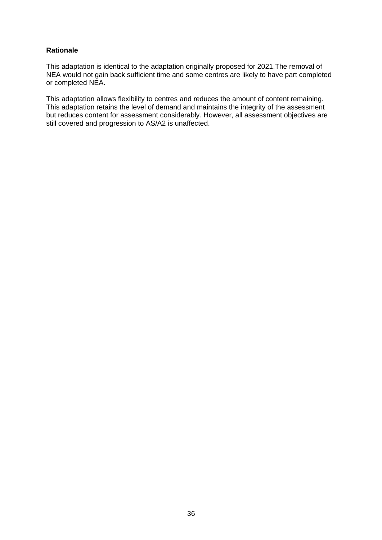#### **Rationale**

This adaptation is identical to the adaptation originally proposed for 2021.The removal of NEA would not gain back sufficient time and some centres are likely to have part completed or completed NEA.

This adaptation allows flexibility to centres and reduces the amount of content remaining. This adaptation retains the level of demand and maintains the integrity of the assessment but reduces content for assessment considerably. However, all assessment objectives are still covered and progression to AS/A2 is unaffected.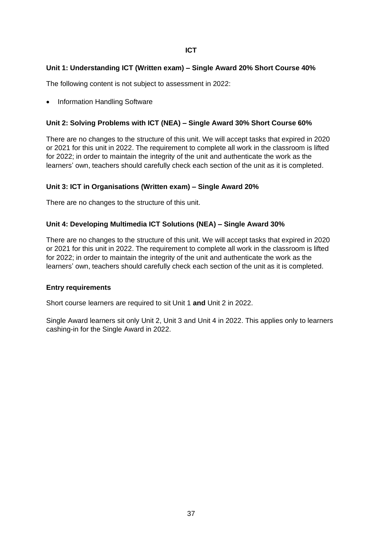#### **Unit 1: Understanding ICT (Written exam) – Single Award 20% Short Course 40%**

The following content is not subject to assessment in 2022:

• Information Handling Software

#### **Unit 2: Solving Problems with ICT (NEA) – Single Award 30% Short Course 60%**

There are no changes to the structure of this unit. We will accept tasks that expired in 2020 or 2021 for this unit in 2022. The requirement to complete all work in the classroom is lifted for 2022; in order to maintain the integrity of the unit and authenticate the work as the learners' own, teachers should carefully check each section of the unit as it is completed.

# **Unit 3: ICT in Organisations (Written exam) – Single Award 20%**

There are no changes to the structure of this unit.

#### **Unit 4: Developing Multimedia ICT Solutions (NEA) – Single Award 30%**

There are no changes to the structure of this unit. We will accept tasks that expired in 2020 or 2021 for this unit in 2022. The requirement to complete all work in the classroom is lifted for 2022; in order to maintain the integrity of the unit and authenticate the work as the learners' own, teachers should carefully check each section of the unit as it is completed.

#### **Entry requirements**

Short course learners are required to sit Unit 1 **and** Unit 2 in 2022.

Single Award learners sit only Unit 2, Unit 3 and Unit 4 in 2022. This applies only to learners cashing-in for the Single Award in 2022.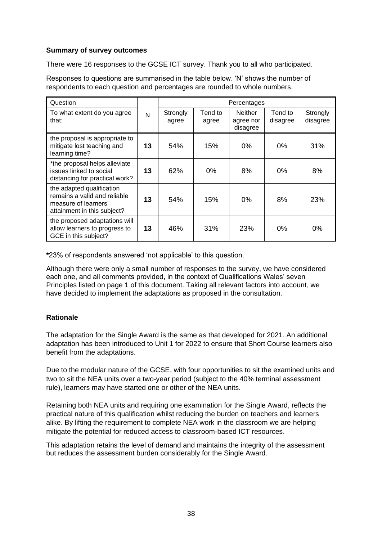#### **Summary of survey outcomes**

There were 16 responses to the GCSE ICT survey. Thank you to all who participated.

Responses to questions are summarised in the table below. 'N' shows the number of respondents to each question and percentages are rounded to whole numbers.

| Question                                                                                                         |    |                   |                  | Percentages                             |                     |                      |
|------------------------------------------------------------------------------------------------------------------|----|-------------------|------------------|-----------------------------------------|---------------------|----------------------|
| To what extent do you agree<br>that:                                                                             | N  | Strongly<br>agree | Tend to<br>agree | <b>Neither</b><br>agree nor<br>disagree | Tend to<br>disagree | Strongly<br>disagree |
| the proposal is appropriate to<br>mitigate lost teaching and<br>learning time?                                   | 13 | 54%               | 15%              | $0\%$                                   | 0%                  | 31%                  |
| *the proposal helps alleviate<br>issues linked to social<br>distancing for practical work?                       | 13 | 62%               | 0%               | 8%                                      | $0\%$               | 8%                   |
| the adapted qualification<br>remains a valid and reliable<br>measure of learners'<br>attainment in this subject? | 13 | 54%               | 15%              | 0%                                      | 8%                  | 23%                  |
| the proposed adaptations will<br>allow learners to progress to<br>GCE in this subject?                           | 13 | 46%               | 31%              | 23%                                     | 0%                  | $0\%$                |

**\***23% of respondents answered 'not applicable' to this question.

Although there were only a small number of responses to the survey, we have considered each one, and all comments provided, in the context of Qualifications Wales' seven Principles listed on page 1 of this document. Taking all relevant factors into account, we have decided to implement the adaptations as proposed in the consultation.

# **Rationale**

The adaptation for the Single Award is the same as that developed for 2021. An additional adaptation has been introduced to Unit 1 for 2022 to ensure that Short Course learners also benefit from the adaptations.

Due to the modular nature of the GCSE, with four opportunities to sit the examined units and two to sit the NEA units over a two-year period (subject to the 40% terminal assessment rule), learners may have started one or other of the NEA units.

Retaining both NEA units and requiring one examination for the Single Award, reflects the practical nature of this qualification whilst reducing the burden on teachers and learners alike. By lifting the requirement to complete NEA work in the classroom we are helping mitigate the potential for reduced access to classroom-based ICT resources.

This adaptation retains the level of demand and maintains the integrity of the assessment but reduces the assessment burden considerably for the Single Award.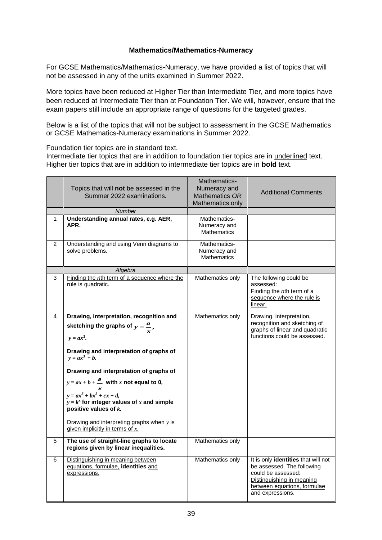#### **Mathematics/Mathematics-Numeracy**

For GCSE Mathematics/Mathematics-Numeracy, we have provided a list of topics that will not be assessed in any of the units examined in Summer 2022.

More topics have been reduced at Higher Tier than Intermediate Tier, and more topics have been reduced at Intermediate Tier than at Foundation Tier. We will, however, ensure that the exam papers still include an appropriate range of questions for the targeted grades.

Below is a list of the topics that will not be subject to assessment in the GCSE Mathematics or GCSE Mathematics-Numeracy examinations in Summer 2022.

Foundation tier topics are in standard text.

Intermediate tier topics that are in addition to foundation tier topics are in underlined text. Higher tier topics that are in addition to intermediate tier topics are in **bold** text.

|                | Topics that will not be assessed in the<br>Summer 2022 examinations.                                                                                                                                                                                                                                                                                                                                                                                                    | Mathematics-<br>Numeracy and<br>Mathematics OR<br>Mathematics only | <b>Additional Comments</b>                                                                                                                                              |
|----------------|-------------------------------------------------------------------------------------------------------------------------------------------------------------------------------------------------------------------------------------------------------------------------------------------------------------------------------------------------------------------------------------------------------------------------------------------------------------------------|--------------------------------------------------------------------|-------------------------------------------------------------------------------------------------------------------------------------------------------------------------|
|                | Number                                                                                                                                                                                                                                                                                                                                                                                                                                                                  |                                                                    |                                                                                                                                                                         |
| 1              | Understanding annual rates, e.g. AER,<br>APR.                                                                                                                                                                                                                                                                                                                                                                                                                           | Mathematics-<br>Numeracy and<br><b>Mathematics</b>                 |                                                                                                                                                                         |
| $\overline{2}$ | Understanding and using Venn diagrams to<br>solve problems.                                                                                                                                                                                                                                                                                                                                                                                                             | Mathematics-<br>Numeracy and<br><b>Mathematics</b>                 |                                                                                                                                                                         |
|                | Algebra                                                                                                                                                                                                                                                                                                                                                                                                                                                                 |                                                                    |                                                                                                                                                                         |
| 3              | Finding the nth term of a sequence where the<br>rule is quadratic.                                                                                                                                                                                                                                                                                                                                                                                                      | Mathematics only                                                   | The following could be<br>assessed:<br>Finding the nth term of a<br>sequence where the rule is<br>linear.                                                               |
| 4              | Drawing, interpretation, recognition and<br>sketching the graphs of $y = \frac{a}{r}$ ,<br>$y = ax^3$ .<br>Drawing and interpretation of graphs of<br>$y = ax^3 + b$ .<br>Drawing and interpretation of graphs of<br>$y = ax + b + \frac{a}{m}$ with x not equal to 0,<br>$y = ax^3 + bx^2 + cx + d$ ,<br>$y = k^x$ for integer values of x and simple<br>positive values of $k$ .<br>Drawing and interpreting graphs when $y$ is<br>given implicitly in terms of $x$ . | Mathematics only                                                   | Drawing, interpretation,<br>recognition and sketching of<br>graphs of linear and quadratic<br>functions could be assessed.                                              |
| 5              | The use of straight-line graphs to locate<br>regions given by linear inequalities.                                                                                                                                                                                                                                                                                                                                                                                      | Mathematics only                                                   |                                                                                                                                                                         |
| 6              | Distinguishing in meaning between<br>equations, formulae, identities and<br>expressions.                                                                                                                                                                                                                                                                                                                                                                                | Mathematics only                                                   | It is only identities that will not<br>be assessed. The following<br>could be assessed:<br>Distinguishing in meaning<br>between equations, formulae<br>and expressions. |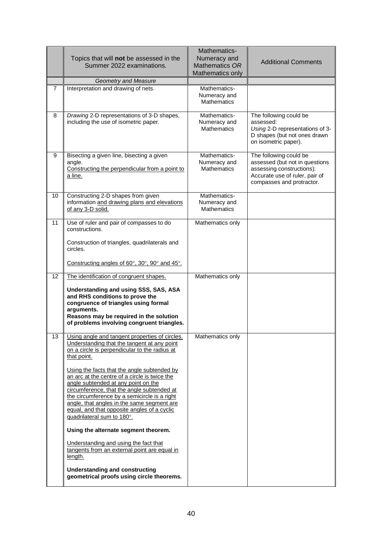|                 | Topics that will not be assessed in the<br>Summer 2022 examinations.                                                                                                                                                                                                                                                                                         | Mathematics-<br>Numeracy and<br>Mathematics OR<br>Mathematics only | <b>Additional Comments</b>                                                                                                                           |
|-----------------|--------------------------------------------------------------------------------------------------------------------------------------------------------------------------------------------------------------------------------------------------------------------------------------------------------------------------------------------------------------|--------------------------------------------------------------------|------------------------------------------------------------------------------------------------------------------------------------------------------|
|                 | <b>Geometry and Measure</b>                                                                                                                                                                                                                                                                                                                                  |                                                                    |                                                                                                                                                      |
| $\overline{7}$  | Interpretation and drawing of nets.                                                                                                                                                                                                                                                                                                                          | Mathematics-<br>Numeracy and<br><b>Mathematics</b>                 |                                                                                                                                                      |
| 8               | Drawing 2-D representations of 3-D shapes,<br>including the use of isometric paper.                                                                                                                                                                                                                                                                          | Mathematics-<br>Numeracy and<br><b>Mathematics</b>                 | The following could be<br>assessed:<br>Using 2-D representations of 3-<br>D shapes (but not ones drawn<br>on isometric paper).                       |
| 9               | Bisecting a given line, bisecting a given<br>angle.<br>Constructing the perpendicular from a point to<br>a line.                                                                                                                                                                                                                                             | Mathematics-<br>Numeracy and<br><b>Mathematics</b>                 | The following could be<br>assessed (but not in questions<br>assessing constructions):<br>Accurate use of ruler, pair of<br>compasses and protractor. |
| 10 <sup>°</sup> | Constructing 2-D shapes from given<br>information and drawing plans and elevations<br>of any 3-D solid.                                                                                                                                                                                                                                                      | Mathematics-<br>Numeracy and<br><b>Mathematics</b>                 |                                                                                                                                                      |
| 11              | Use of ruler and pair of compasses to do<br>constructions.                                                                                                                                                                                                                                                                                                   | Mathematics only                                                   |                                                                                                                                                      |
|                 | Construction of triangles, quadrilaterals and<br>circles.                                                                                                                                                                                                                                                                                                    |                                                                    |                                                                                                                                                      |
|                 | Constructing angles of $60^\circ$ , $30^\circ$ , $90^\circ$ and $45^\circ$ .                                                                                                                                                                                                                                                                                 |                                                                    |                                                                                                                                                      |
| 12              | The identification of congruent shapes.                                                                                                                                                                                                                                                                                                                      | Mathematics only                                                   |                                                                                                                                                      |
|                 | Understanding and using SSS, SAS, ASA<br>and RHS conditions to prove the<br>congruence of triangles using formal<br>arguments.<br>Reasons may be required in the solution<br>of problems involving congruent triangles.                                                                                                                                      |                                                                    |                                                                                                                                                      |
| 13              | Using angle and tangent properties of circles.<br>Understanding that the tangent at any point<br>on a circle is perpendicular to the radius at<br>that point.                                                                                                                                                                                                | Mathematics only                                                   |                                                                                                                                                      |
|                 | Using the facts that the angle subtended by<br>an arc at the centre of a circle is twice the<br>angle subtended at any point on the<br>circumference, that the angle subtended at<br>the circumference by a semicircle is a right<br>angle, that angles in the same segment are<br>equal, and that opposite angles of a cyclic<br>quadrilateral sum to 180°. |                                                                    |                                                                                                                                                      |
|                 | Using the alternate segment theorem.                                                                                                                                                                                                                                                                                                                         |                                                                    |                                                                                                                                                      |
|                 | Understanding and using the fact that<br>tangents from an external point are equal in<br>length.                                                                                                                                                                                                                                                             |                                                                    |                                                                                                                                                      |
|                 | <b>Understanding and constructing</b><br>geometrical proofs using circle theorems.                                                                                                                                                                                                                                                                           |                                                                    |                                                                                                                                                      |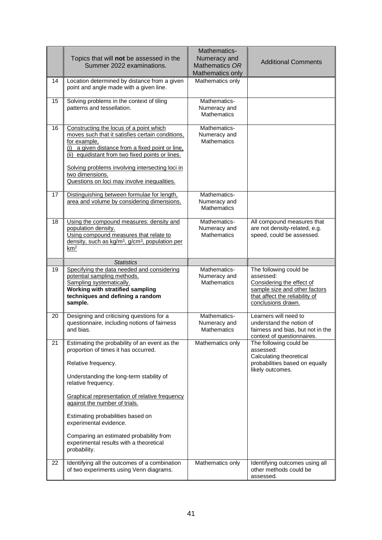|    | Topics that will not be assessed in the<br>Summer 2022 examinations.                                                                                                                                                                                                                                                                     | Mathematics-<br>Numeracy and<br>Mathematics OR<br>Mathematics only | <b>Additional Comments</b>                                                                                                                                |
|----|------------------------------------------------------------------------------------------------------------------------------------------------------------------------------------------------------------------------------------------------------------------------------------------------------------------------------------------|--------------------------------------------------------------------|-----------------------------------------------------------------------------------------------------------------------------------------------------------|
| 14 | Location determined by distance from a given<br>point and angle made with a given line.                                                                                                                                                                                                                                                  | Mathematics only                                                   |                                                                                                                                                           |
| 15 | Solving problems in the context of tiling<br>patterns and tessellation.                                                                                                                                                                                                                                                                  | Mathematics-<br>Numeracy and<br><b>Mathematics</b>                 |                                                                                                                                                           |
| 16 | Constructing the locus of a point which<br>moves such that it satisfies certain conditions,<br>for example,<br>(i) a given distance from a fixed point or line.<br>(ii) equidistant from two fixed points or lines.<br>Solving problems involving intersecting loci in<br>two dimensions.<br>Questions on loci may involve inequalities. | Mathematics-<br>Numeracy and<br><b>Mathematics</b>                 |                                                                                                                                                           |
| 17 | Distinguishing between formulae for length,<br>area and volume by considering dimensions.                                                                                                                                                                                                                                                | Mathematics-<br>Numeracy and<br><b>Mathematics</b>                 |                                                                                                                                                           |
| 18 | Using the compound measures: density and<br>population density.<br>Using compound measures that relate to<br>density, such as kg/m <sup>3</sup> , g/cm <sup>3</sup> , population per<br>km <sup>2</sup>                                                                                                                                  | Mathematics-<br>Numeracy and<br><b>Mathematics</b>                 | All compound measures that<br>are not density-related, e.g.<br>speed, could be assessed.                                                                  |
|    | <b>Statistics</b>                                                                                                                                                                                                                                                                                                                        |                                                                    |                                                                                                                                                           |
| 19 | Specifying the data needed and considering<br>potential sampling methods.<br>Sampling systematically.<br>Working with stratified sampling<br>techniques and defining a random<br>sample.                                                                                                                                                 | Mathematics-<br>Numeracy and<br><b>Mathematics</b>                 | The following could be<br>assessed:<br>Considering the effect of<br>sample size and other factors<br>that affect the reliability of<br>conclusions drawn. |
| 20 | Designing and criticising questions for a<br>questionnaire, including notions of fairness<br>and bias.                                                                                                                                                                                                                                   | Mathematics-<br>Numeracy and<br><b>Mathematics</b>                 | Learners will need to<br>understand the notion of<br>fairness and bias, but not in the<br>context of questionnaires.                                      |
| 21 | Estimating the probability of an event as the<br>proportion of times it has occurred.                                                                                                                                                                                                                                                    | Mathematics only                                                   | The following could be<br>assessed:<br>Calculating theoretical                                                                                            |
|    | Relative frequency.                                                                                                                                                                                                                                                                                                                      |                                                                    | probabilities based on equally<br>likely outcomes.                                                                                                        |
|    | Understanding the long-term stability of<br>relative frequency.                                                                                                                                                                                                                                                                          |                                                                    |                                                                                                                                                           |
|    | Graphical representation of relative frequency<br>against the number of trials.                                                                                                                                                                                                                                                          |                                                                    |                                                                                                                                                           |
|    | Estimating probabilities based on<br>experimental evidence.                                                                                                                                                                                                                                                                              |                                                                    |                                                                                                                                                           |
|    | Comparing an estimated probability from<br>experimental results with a theoretical<br>probability.                                                                                                                                                                                                                                       |                                                                    |                                                                                                                                                           |
| 22 | Identifying all the outcomes of a combination<br>of two experiments using Venn diagrams.                                                                                                                                                                                                                                                 | Mathematics only                                                   | Identifying outcomes using all<br>other methods could be<br>assessed.                                                                                     |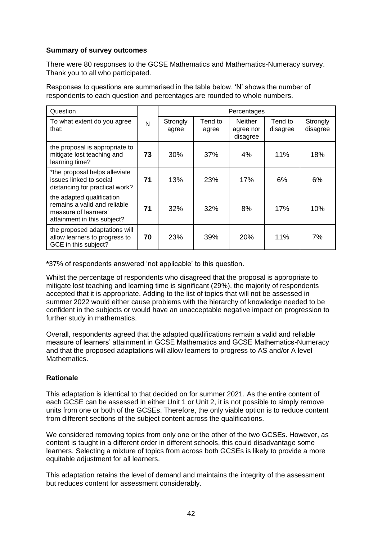#### **Summary of survey outcomes**

There were 80 responses to the GCSE Mathematics and Mathematics-Numeracy survey. Thank you to all who participated.

Responses to questions are summarised in the table below. 'N' shows the number of respondents to each question and percentages are rounded to whole numbers.

| Question                                                                                                         |    |                   |                  | Percentages                      |                     |                      |
|------------------------------------------------------------------------------------------------------------------|----|-------------------|------------------|----------------------------------|---------------------|----------------------|
| To what extent do you agree<br>that:                                                                             | N  | Strongly<br>agree | Tend to<br>agree | Neither<br>agree nor<br>disagree | Tend to<br>disagree | Strongly<br>disagree |
| the proposal is appropriate to<br>mitigate lost teaching and<br>learning time?                                   | 73 | <b>30%</b>        | 37%              | 4%                               | 11%                 | 18%                  |
| *the proposal helps alleviate<br>issues linked to social<br>distancing for practical work?                       | 71 | 13%               | 23%              | 17%                              | 6%                  | 6%                   |
| the adapted qualification<br>remains a valid and reliable<br>measure of learners'<br>attainment in this subject? | 71 | 32%               | 32%              | 8%                               | 17%                 | 10%                  |
| the proposed adaptations will<br>allow learners to progress to<br>GCE in this subject?                           | 70 | 23%               | 39%              | 20%                              | 11%                 | 7%                   |

**\***37% of respondents answered 'not applicable' to this question.

Whilst the percentage of respondents who disagreed that the proposal is appropriate to mitigate lost teaching and learning time is significant (29%), the majority of respondents accepted that it is appropriate. Adding to the list of topics that will not be assessed in summer 2022 would either cause problems with the hierarchy of knowledge needed to be confident in the subjects or would have an unacceptable negative impact on progression to further study in mathematics.

Overall, respondents agreed that the adapted qualifications remain a valid and reliable measure of learners' attainment in GCSE Mathematics and GCSE Mathematics-Numeracy and that the proposed adaptations will allow learners to progress to AS and/or A level Mathematics.

# **Rationale**

This adaptation is identical to that decided on for summer 2021. As the entire content of each GCSE can be assessed in either Unit 1 or Unit 2, it is not possible to simply remove units from one or both of the GCSEs. Therefore, the only viable option is to reduce content from different sections of the subject content across the qualifications.

We considered removing topics from only one or the other of the two GCSEs. However, as content is taught in a different order in different schools, this could disadvantage some learners. Selecting a mixture of topics from across both GCSEs is likely to provide a more equitable adjustment for all learners.

This adaptation retains the level of demand and maintains the integrity of the assessment but reduces content for assessment considerably.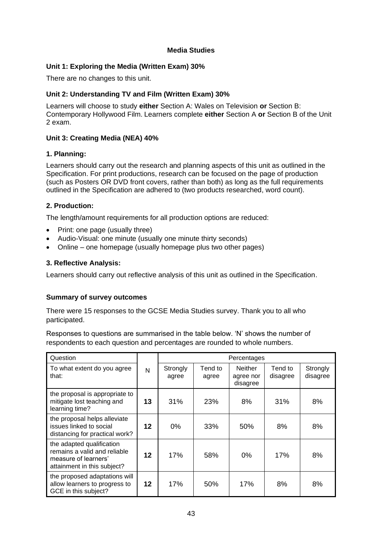#### **Media Studies**

#### **Unit 1: Exploring the Media (Written Exam) 30%**

There are no changes to this unit.

#### **Unit 2: Understanding TV and Film (Written Exam) 30%**

Learners will choose to study **either** Section A: Wales on Television **or** Section B: Contemporary Hollywood Film. Learners complete **either** Section A **or** Section B of the Unit 2 exam.

# **Unit 3: Creating Media (NEA) 40%**

#### **1. Planning:**

Learners should carry out the research and planning aspects of this unit as outlined in the Specification. For print productions, research can be focused on the page of production (such as Posters OR DVD front covers, rather than both) as long as the full requirements outlined in the Specification are adhered to (two products researched, word count).

#### **2. Production:**

The length/amount requirements for all production options are reduced:

- Print: one page (usually three)
- Audio-Visual: one minute (usually one minute thirty seconds)
- Online one homepage (usually homepage plus two other pages)

#### **3. Reflective Analysis:**

Learners should carry out reflective analysis of this unit as outlined in the Specification.

#### **Summary of survey outcomes**

There were 15 responses to the GCSE Media Studies survey. Thank you to all who participated.

Responses to questions are summarised in the table below. 'N' shows the number of respondents to each question and percentages are rounded to whole numbers.

| Question                                                                                                         |         |                   |                  | Percentages                             |                     |                      |
|------------------------------------------------------------------------------------------------------------------|---------|-------------------|------------------|-----------------------------------------|---------------------|----------------------|
| To what extent do you agree<br>that:                                                                             | N       | Strongly<br>agree | Tend to<br>agree | <b>Neither</b><br>agree nor<br>disagree | Tend to<br>disagree | Strongly<br>disagree |
| the proposal is appropriate to<br>mitigate lost teaching and<br>learning time?                                   | 13      | 31%               | 23%              | 8%                                      | 31%                 | 8%                   |
| the proposal helps alleviate<br>issues linked to social<br>distancing for practical work?                        | 12      | 0%                | 33%              | 50%                                     | 8%                  | 8%                   |
| the adapted qualification<br>remains a valid and reliable<br>measure of learners'<br>attainment in this subject? | 12      | 17%               | 58%              | 0%                                      | 17%                 | 8%                   |
| the proposed adaptations will<br>allow learners to progress to<br>GCE in this subject?                           | $12 \,$ | 17%               | 50%              | 17%                                     | 8%                  | 8%                   |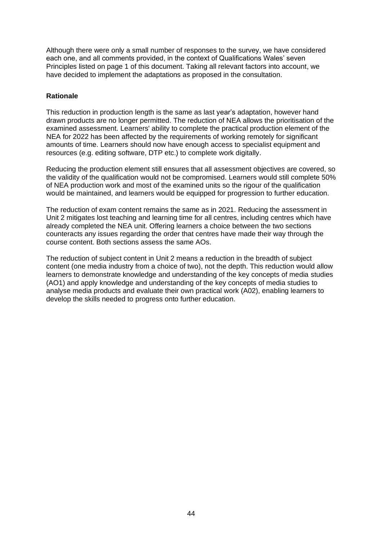Although there were only a small number of responses to the survey, we have considered each one, and all comments provided, in the context of Qualifications Wales' seven Principles listed on page 1 of this document. Taking all relevant factors into account, we have decided to implement the adaptations as proposed in the consultation.

# **Rationale**

This reduction in production length is the same as last year's adaptation, however hand drawn products are no longer permitted. The reduction of NEA allows the prioritisation of the examined assessment. Learners' ability to complete the practical production element of the NEA for 2022 has been affected by the requirements of working remotely for significant amounts of time. Learners should now have enough access to specialist equipment and resources (e.g. editing software, DTP etc.) to complete work digitally.

Reducing the production element still ensures that all assessment objectives are covered, so the validity of the qualification would not be compromised. Learners would still complete 50% of NEA production work and most of the examined units so the rigour of the qualification would be maintained, and learners would be equipped for progression to further education.

The reduction of exam content remains the same as in 2021. Reducing the assessment in Unit 2 mitigates lost teaching and learning time for all centres, including centres which have already completed the NEA unit. Offering learners a choice between the two sections counteracts any issues regarding the order that centres have made their way through the course content. Both sections assess the same AOs.

The reduction of subject content in Unit 2 means a reduction in the breadth of subject content (one media industry from a choice of two), not the depth. This reduction would allow learners to demonstrate knowledge and understanding of the key concepts of media studies (AO1) and apply knowledge and understanding of the key concepts of media studies to analyse media products and evaluate their own practical work (A02), enabling learners to develop the skills needed to progress onto further education.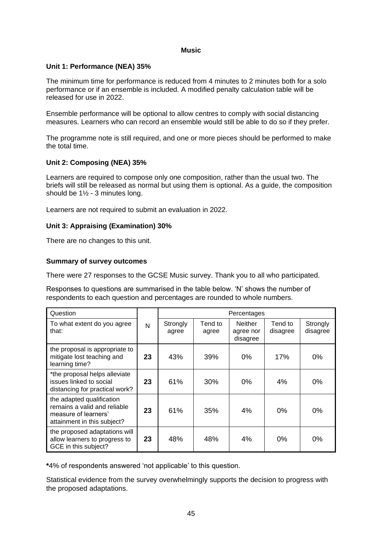#### **Music**

#### **Unit 1: Performance (NEA) 35%**

The minimum time for performance is reduced from 4 minutes to 2 minutes both for a solo performance or if an ensemble is included. A modified penalty calculation table will be released for use in 2022.

Ensemble performance will be optional to allow centres to comply with social distancing measures. Learners who can record an ensemble would still be able to do so if they prefer.

The programme note is still required, and one or more pieces should be performed to make the total time.

#### **Unit 2: Composing (NEA) 35%**

Learners are required to compose only one composition, rather than the usual two. The briefs will still be released as normal but using them is optional. As a guide, the composition should be 1½ - 3 minutes long.

Learners are not required to submit an evaluation in 2022.

#### **Unit 3: Appraising (Examination) 30%**

There are no changes to this unit.

#### **Summary of survey outcomes**

There were 27 responses to the GCSE Music survey. Thank you to all who participated.

Responses to questions are summarised in the table below. 'N' shows the number of respondents to each question and percentages are rounded to whole numbers.

| Question                                                                                                         |    |                   |                  | Percentages                             |                     |                      |
|------------------------------------------------------------------------------------------------------------------|----|-------------------|------------------|-----------------------------------------|---------------------|----------------------|
| To what extent do you agree<br>that:                                                                             | N  | Strongly<br>agree | Tend to<br>agree | <b>Neither</b><br>agree nor<br>disagree | Tend to<br>disagree | Strongly<br>disagree |
| the proposal is appropriate to<br>mitigate lost teaching and<br>learning time?                                   | 23 | 43%               | 39%              | 0%                                      | 17%                 | 0%                   |
| *the proposal helps alleviate<br>issues linked to social<br>distancing for practical work?                       | 23 | 61%               | 30%              | $0\%$                                   | 4%                  | 0%                   |
| the adapted qualification<br>remains a valid and reliable<br>measure of learners'<br>attainment in this subject? | 23 | 61%               | 35%              | 4%                                      | 0%                  | 0%                   |
| the proposed adaptations will<br>allow learners to progress to<br>GCE in this subject?                           | 23 | 48%               | 48%              | 4%                                      | 0%                  | 0%                   |

**\***4% of respondents answered 'not applicable' to this question.

Statistical evidence from the survey overwhelmingly supports the decision to progress with the proposed adaptations.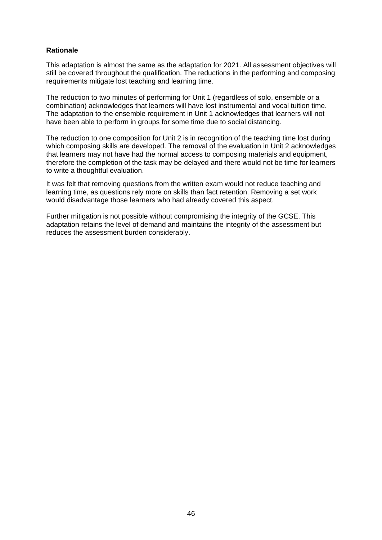#### **Rationale**

This adaptation is almost the same as the adaptation for 2021. All assessment objectives will still be covered throughout the qualification. The reductions in the performing and composing requirements mitigate lost teaching and learning time.

The reduction to two minutes of performing for Unit 1 (regardless of solo, ensemble or a combination) acknowledges that learners will have lost instrumental and vocal tuition time. The adaptation to the ensemble requirement in Unit 1 acknowledges that learners will not have been able to perform in groups for some time due to social distancing.

The reduction to one composition for Unit 2 is in recognition of the teaching time lost during which composing skills are developed. The removal of the evaluation in Unit 2 acknowledges that learners may not have had the normal access to composing materials and equipment, therefore the completion of the task may be delayed and there would not be time for learners to write a thoughtful evaluation.

It was felt that removing questions from the written exam would not reduce teaching and learning time, as questions rely more on skills than fact retention. Removing a set work would disadvantage those learners who had already covered this aspect.

Further mitigation is not possible without compromising the integrity of the GCSE. This adaptation retains the level of demand and maintains the integrity of the assessment but reduces the assessment burden considerably.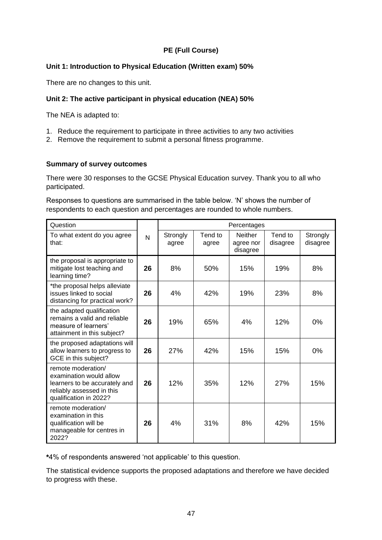# **PE (Full Course)**

#### **Unit 1: Introduction to Physical Education (Written exam) 50%**

There are no changes to this unit.

#### **Unit 2: The active participant in physical education (NEA) 50%**

The NEA is adapted to:

- 1. Reduce the requirement to participate in three activities to any two activities
- 2. Remove the requirement to submit a personal fitness programme.

#### **Summary of survey outcomes**

There were 30 responses to the GCSE Physical Education survey. Thank you to all who participated.

Responses to questions are summarised in the table below. 'N' shows the number of respondents to each question and percentages are rounded to whole numbers.

| Question                                                                                                                              |    |                   |                  | Percentages                             |                     |                      |
|---------------------------------------------------------------------------------------------------------------------------------------|----|-------------------|------------------|-----------------------------------------|---------------------|----------------------|
| To what extent do you agree<br>that:                                                                                                  | N  | Strongly<br>agree | Tend to<br>agree | <b>Neither</b><br>agree nor<br>disagree | Tend to<br>disagree | Strongly<br>disagree |
| the proposal is appropriate to<br>mitigate lost teaching and<br>learning time?                                                        | 26 | 8%                | 50%              | 15%                                     | 19%                 | 8%                   |
| *the proposal helps alleviate<br>issues linked to social<br>distancing for practical work?                                            | 26 | 4%                | 42%              | 19%                                     | 23%                 | 8%                   |
| the adapted qualification<br>remains a valid and reliable<br>measure of learners'<br>attainment in this subject?                      | 26 | 19%               | 65%              | 4%                                      | 12%                 | 0%                   |
| the proposed adaptations will<br>allow learners to progress to<br>GCE in this subject?                                                | 26 | 27%               | 42%              | 15%                                     | 15%                 | 0%                   |
| remote moderation/<br>examination would allow<br>learners to be accurately and<br>reliably assessed in this<br>qualification in 2022? | 26 | 12%               | 35%              | 12%                                     | 27%                 | 15%                  |
| remote moderation/<br>examination in this<br>qualification will be<br>manageable for centres in<br>2022?                              | 26 | 4%                | 31%              | 8%                                      | 42%                 | 15%                  |

**\***4% of respondents answered 'not applicable' to this question.

The statistical evidence supports the proposed adaptations and therefore we have decided to progress with these.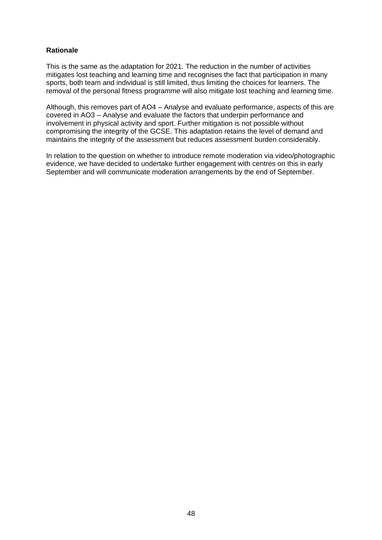#### **Rationale**

This is the same as the adaptation for 2021. The reduction in the number of activities mitigates lost teaching and learning time and recognises the fact that participation in many sports, both team and individual is still limited, thus limiting the choices for learners. The removal of the personal fitness programme will also mitigate lost teaching and learning time.

Although, this removes part of AO4 – Analyse and evaluate performance, aspects of this are covered in AO3 – Analyse and evaluate the factors that underpin performance and involvement in physical activity and sport. Further mitigation is not possible without compromising the integrity of the GCSE. This adaptation retains the level of demand and maintains the integrity of the assessment but reduces assessment burden considerably.

In relation to the question on whether to introduce remote moderation via video/photographic evidence, we have decided to undertake further engagement with centres on this in early September and will communicate moderation arrangements by the end of September.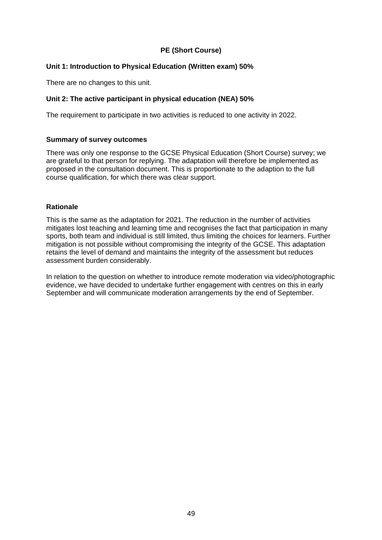# **PE (Short Course)**

#### **Unit 1: Introduction to Physical Education (Written exam) 50%**

There are no changes to this unit.

#### **Unit 2: The active participant in physical education (NEA) 50%**

The requirement to participate in two activities is reduced to one activity in 2022.

#### **Summary of survey outcomes**

There was only one response to the GCSE Physical Education (Short Course) survey; we are grateful to that person for replying. The adaptation will therefore be implemented as proposed in the consultation document. This is proportionate to the adaption to the full course qualification, for which there was clear support.

#### **Rationale**

This is the same as the adaptation for 2021. The reduction in the number of activities mitigates lost teaching and learning time and recognises the fact that participation in many sports, both team and individual is still limited, thus limiting the choices for learners. Further mitigation is not possible without compromising the integrity of the GCSE. This adaptation retains the level of demand and maintains the integrity of the assessment but reduces assessment burden considerably.

In relation to the question on whether to introduce remote moderation via video/photographic evidence, we have decided to undertake further engagement with centres on this in early September and will communicate moderation arrangements by the end of September.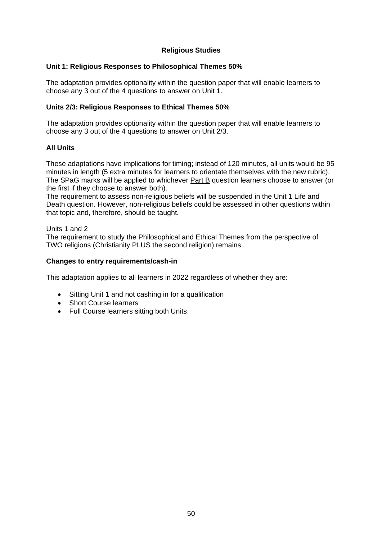#### **Religious Studies**

#### **Unit 1: Religious Responses to Philosophical Themes 50%**

The adaptation provides optionality within the question paper that will enable learners to choose any 3 out of the 4 questions to answer on Unit 1.

# **Units 2/3: Religious Responses to Ethical Themes 50%**

The adaptation provides optionality within the question paper that will enable learners to choose any 3 out of the 4 questions to answer on Unit 2/3.

#### **All Units**

These adaptations have implications for timing; instead of 120 minutes, all units would be 95 minutes in length (5 extra minutes for learners to orientate themselves with the new rubric). The SPaG marks will be applied to whichever Part B question learners choose to answer (or the first if they choose to answer both).

The requirement to assess non-religious beliefs will be suspended in the Unit 1 Life and Death question. However, non-religious beliefs could be assessed in other questions within that topic and, therefore, should be taught.

#### Units 1 and 2

The requirement to study the Philosophical and Ethical Themes from the perspective of TWO religions (Christianity PLUS the second religion) remains.

#### **Changes to entry requirements/cash-in**

This adaptation applies to all learners in 2022 regardless of whether they are:

- Sitting Unit 1 and not cashing in for a qualification
- Short Course learners
- Full Course learners sitting both Units.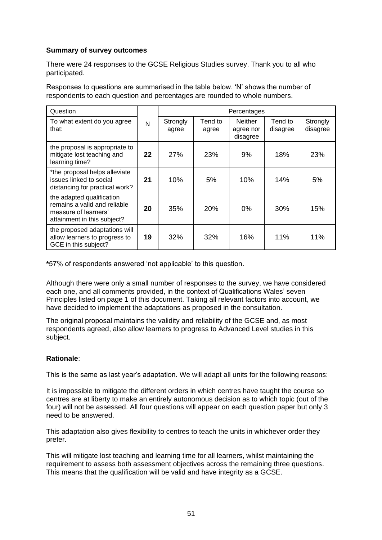#### **Summary of survey outcomes**

There were 24 responses to the GCSE Religious Studies survey. Thank you to all who participated.

Responses to questions are summarised in the table below. 'N' shows the number of respondents to each question and percentages are rounded to whole numbers.

| Question                                                                                                         |    |                   |                  | Percentages                             |                     |                      |
|------------------------------------------------------------------------------------------------------------------|----|-------------------|------------------|-----------------------------------------|---------------------|----------------------|
| To what extent do you agree<br>that:                                                                             | N  | Strongly<br>agree | Tend to<br>agree | <b>Neither</b><br>agree nor<br>disagree | Tend to<br>disagree | Strongly<br>disagree |
| the proposal is appropriate to<br>mitigate lost teaching and<br>learning time?                                   | 22 | 27%               | <b>23%</b>       | 9%                                      | 18%                 | 23%                  |
| *the proposal helps alleviate<br>issues linked to social<br>distancing for practical work?                       | 21 | 10%               | 5%               | 10%                                     | 14%                 | 5%                   |
| the adapted qualification<br>remains a valid and reliable<br>measure of learners'<br>attainment in this subject? | 20 | 35%               | <b>20%</b>       | 0%                                      | 30%                 | 15%                  |
| the proposed adaptations will<br>allow learners to progress to<br>GCE in this subject?                           | 19 | 32%               | 32%              | 16%                                     | 11%                 | 11%                  |

**\***57% of respondents answered 'not applicable' to this question.

Although there were only a small number of responses to the survey, we have considered each one, and all comments provided, in the context of Qualifications Wales' seven Principles listed on page 1 of this document. Taking all relevant factors into account, we have decided to implement the adaptations as proposed in the consultation.

The original proposal maintains the validity and reliability of the GCSE and, as most respondents agreed, also allow learners to progress to Advanced Level studies in this subject.

#### **Rationale**:

This is the same as last year's adaptation. We will adapt all units for the following reasons:

It is impossible to mitigate the different orders in which centres have taught the course so centres are at liberty to make an entirely autonomous decision as to which topic (out of the four) will not be assessed. All four questions will appear on each question paper but only 3 need to be answered.

This adaptation also gives flexibility to centres to teach the units in whichever order they prefer.

This will mitigate lost teaching and learning time for all learners, whilst maintaining the requirement to assess both assessment objectives across the remaining three questions. This means that the qualification will be valid and have integrity as a GCSE.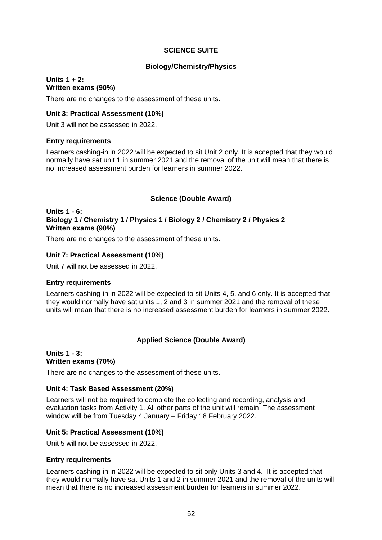#### **SCIENCE SUITE**

#### **Biology/Chemistry/Physics**

#### **Units 1 + 2: Written exams (90%)**

There are no changes to the assessment of these units.

#### **Unit 3: Practical Assessment (10%)**

Unit 3 will not be assessed in 2022.

#### **Entry requirements**

Learners cashing-in in 2022 will be expected to sit Unit 2 only. It is accepted that they would normally have sat unit 1 in summer 2021 and the removal of the unit will mean that there is no increased assessment burden for learners in summer 2022.

#### **Science (Double Award)**

#### **Units 1 - 6: Biology 1 / Chemistry 1 / Physics 1 / Biology 2 / Chemistry 2 / Physics 2 Written exams (90%)**

There are no changes to the assessment of these units.

#### **Unit 7: Practical Assessment (10%)**

Unit 7 will not be assessed in 2022.

#### **Entry requirements**

Learners cashing-in in 2022 will be expected to sit Units 4, 5, and 6 only. It is accepted that they would normally have sat units 1, 2 and 3 in summer 2021 and the removal of these units will mean that there is no increased assessment burden for learners in summer 2022.

#### **Applied Science (Double Award)**

#### **Units 1 - 3: Written exams (70%)**

There are no changes to the assessment of these units.

#### **Unit 4: Task Based Assessment (20%)**

Learners will not be required to complete the collecting and recording, analysis and evaluation tasks from Activity 1. All other parts of the unit will remain. The assessment window will be from Tuesday 4 January – Friday 18 February 2022.

#### **Unit 5: Practical Assessment (10%)**

Unit 5 will not be assessed in 2022.

#### **Entry requirements**

Learners cashing-in in 2022 will be expected to sit only Units 3 and 4. It is accepted that they would normally have sat Units 1 and 2 in summer 2021 and the removal of the units will mean that there is no increased assessment burden for learners in summer 2022.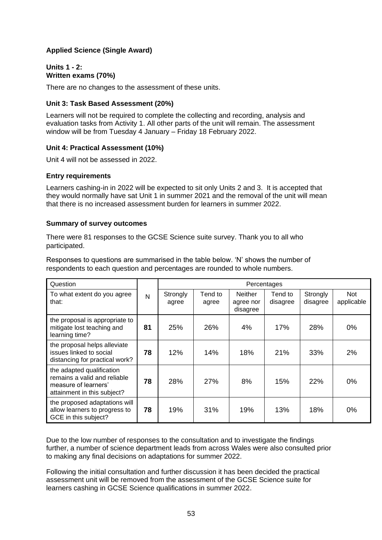# **Applied Science (Single Award)**

#### **Units 1 - 2: Written exams (70%)**

There are no changes to the assessment of these units.

#### **Unit 3: Task Based Assessment (20%)**

Learners will not be required to complete the collecting and recording, analysis and evaluation tasks from Activity 1. All other parts of the unit will remain. The assessment window will be from Tuesday 4 January – Friday 18 February 2022.

#### **Unit 4: Practical Assessment (10%)**

Unit 4 will not be assessed in 2022.

#### **Entry requirements**

Learners cashing-in in 2022 will be expected to sit only Units 2 and 3. It is accepted that they would normally have sat Unit 1 in summer 2021 and the removal of the unit will mean that there is no increased assessment burden for learners in summer 2022.

#### **Summary of survey outcomes**

There were 81 responses to the GCSE Science suite survey. Thank you to all who participated.

Responses to questions are summarised in the table below. 'N' shows the number of respondents to each question and percentages are rounded to whole numbers.

| Question                                                                                                         |    | Percentages       |                  |                                         |                     |                      |                   |  |
|------------------------------------------------------------------------------------------------------------------|----|-------------------|------------------|-----------------------------------------|---------------------|----------------------|-------------------|--|
| To what extent do you agree<br>that:                                                                             | N  | Strongly<br>agree | Tend to<br>agree | <b>Neither</b><br>agree nor<br>disagree | Tend to<br>disagree | Strongly<br>disagree | Not<br>applicable |  |
| the proposal is appropriate to<br>mitigate lost teaching and<br>learning time?                                   | 81 | 25%               | 26%              | 4%                                      | 17%                 | 28%                  | $0\%$             |  |
| the proposal helps alleviate<br>issues linked to social<br>distancing for practical work?                        | 78 | 12%               | 14%              | 18%                                     | 21%                 | 33%                  | 2%                |  |
| the adapted qualification<br>remains a valid and reliable<br>measure of learners'<br>attainment in this subject? | 78 | 28%               | 27%              | 8%                                      | 15%                 | 22%                  | 0%                |  |
| the proposed adaptations will<br>allow learners to progress to<br>GCE in this subject?                           | 78 | 19%               | 31%              | 19%                                     | 13%                 | 18%                  | 0%                |  |

Due to the low number of responses to the consultation and to investigate the findings further, a number of science department leads from across Wales were also consulted prior to making any final decisions on adaptations for summer 2022.

Following the initial consultation and further discussion it has been decided the practical assessment unit will be removed from the assessment of the GCSE Science suite for learners cashing in GCSE Science qualifications in summer 2022.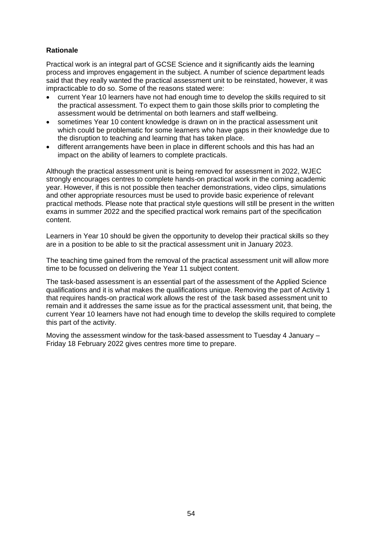# **Rationale**

Practical work is an integral part of GCSE Science and it significantly aids the learning process and improves engagement in the subject. A number of science department leads said that they really wanted the practical assessment unit to be reinstated, however, it was impracticable to do so. Some of the reasons stated were:

- current Year 10 learners have not had enough time to develop the skills required to sit the practical assessment. To expect them to gain those skills prior to completing the assessment would be detrimental on both learners and staff wellbeing.
- sometimes Year 10 content knowledge is drawn on in the practical assessment unit which could be problematic for some learners who have gaps in their knowledge due to the disruption to teaching and learning that has taken place.
- different arrangements have been in place in different schools and this has had an impact on the ability of learners to complete practicals.

Although the practical assessment unit is being removed for assessment in 2022, WJEC strongly encourages centres to complete hands-on practical work in the coming academic year. However, if this is not possible then teacher demonstrations, video clips, simulations and other appropriate resources must be used to provide basic experience of relevant practical methods. Please note that practical style questions will still be present in the written exams in summer 2022 and the specified practical work remains part of the specification content.

Learners in Year 10 should be given the opportunity to develop their practical skills so they are in a position to be able to sit the practical assessment unit in January 2023.

The teaching time gained from the removal of the practical assessment unit will allow more time to be focussed on delivering the Year 11 subject content.

The task-based assessment is an essential part of the assessment of the Applied Science qualifications and it is what makes the qualifications unique. Removing the part of Activity 1 that requires hands-on practical work allows the rest of the task based assessment unit to remain and it addresses the same issue as for the practical assessment unit, that being, the current Year 10 learners have not had enough time to develop the skills required to complete this part of the activity.

Moving the assessment window for the task-based assessment to Tuesday 4 January – Friday 18 February 2022 gives centres more time to prepare.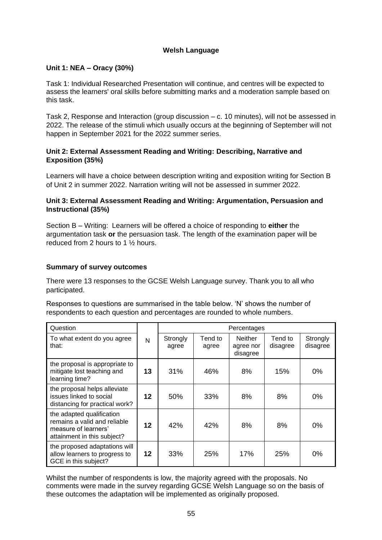#### **Welsh Language**

# **Unit 1: NEA – Oracy (30%)**

Task 1: Individual Researched Presentation will continue, and centres will be expected to assess the learners' oral skills before submitting marks and a moderation sample based on this task.

Task 2, Response and Interaction (group discussion – c. 10 minutes), will not be assessed in 2022. The release of the stimuli which usually occurs at the beginning of September will not happen in September 2021 for the 2022 summer series.

# **Unit 2: External Assessment Reading and Writing: Describing, Narrative and Exposition (35%)**

Learners will have a choice between description writing and exposition writing for Section B of Unit 2 in summer 2022. Narration writing will not be assessed in summer 2022.

# **Unit 3: External Assessment Reading and Writing: Argumentation, Persuasion and Instructional (35%)**

Section B – Writing: Learners will be offered a choice of responding to **either** the argumentation task **or** the persuasion task. The length of the examination paper will be reduced from 2 hours to 1 ½ hours.

#### **Summary of survey outcomes**

There were 13 responses to the GCSE Welsh Language survey. Thank you to all who participated.

Responses to questions are summarised in the table below. 'N' shows the number of respondents to each question and percentages are rounded to whole numbers.

| Question                                                                                                         |         | Percentages       |                  |                                         |                     |                      |  |
|------------------------------------------------------------------------------------------------------------------|---------|-------------------|------------------|-----------------------------------------|---------------------|----------------------|--|
| To what extent do you agree<br>that:                                                                             | N       | Strongly<br>agree | Tend to<br>agree | <b>Neither</b><br>agree nor<br>disagree | Tend to<br>disagree | Strongly<br>disagree |  |
| the proposal is appropriate to<br>mitigate lost teaching and<br>learning time?                                   | 13      | 31%               | 46%              | 8%                                      | 15%                 | $0\%$                |  |
| the proposal helps alleviate<br>issues linked to social<br>distancing for practical work?                        | 12      | 50%               | 33%              | 8%                                      | 8%                  | 0%                   |  |
| the adapted qualification<br>remains a valid and reliable<br>measure of learners'<br>attainment in this subject? | 12      | 42%               | 42%              | 8%                                      | 8%                  | 0%                   |  |
| the proposed adaptations will<br>allow learners to progress to<br>GCE in this subject?                           | $12 \,$ | 33%               | 25%              | 17%                                     | 25%                 | 0%                   |  |

Whilst the number of respondents is low, the majority agreed with the proposals. No comments were made in the survey regarding GCSE Welsh Language so on the basis of these outcomes the adaptation will be implemented as originally proposed.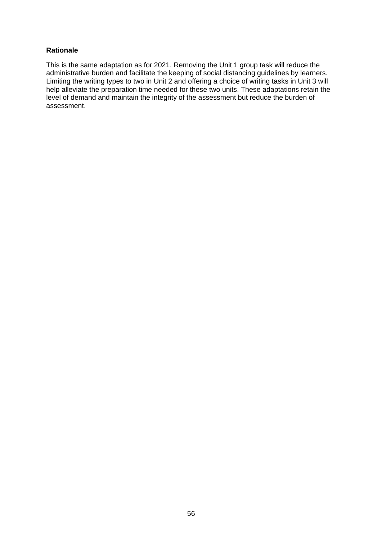#### **Rationale**

This is the same adaptation as for 2021. Removing the Unit 1 group task will reduce the administrative burden and facilitate the keeping of social distancing guidelines by learners. Limiting the writing types to two in Unit 2 and offering a choice of writing tasks in Unit 3 will help alleviate the preparation time needed for these two units. These adaptations retain the level of demand and maintain the integrity of the assessment but reduce the burden of assessment.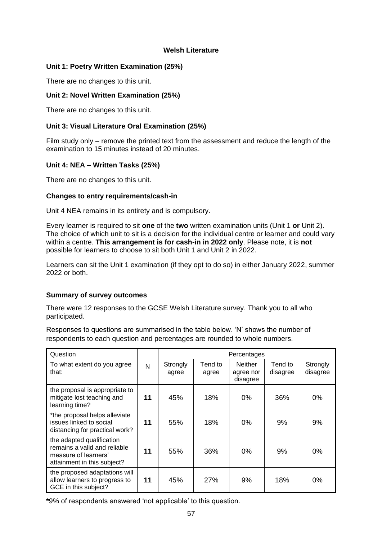#### **Welsh Literature**

#### **Unit 1: Poetry Written Examination (25%)**

There are no changes to this unit.

#### **Unit 2: Novel Written Examination (25%)**

There are no changes to this unit.

# **Unit 3: Visual Literature Oral Examination (25%)**

Film study only – remove the printed text from the assessment and reduce the length of the examination to 15 minutes instead of 20 minutes.

# **Unit 4: NEA – Written Tasks (25%)**

There are no changes to this unit.

#### **Changes to entry requirements/cash-in**

Unit 4 NEA remains in its entirety and is compulsory.

Every learner is required to sit **one** of the **two** written examination units (Unit 1 **or** Unit 2). The choice of which unit to sit is a decision for the individual centre or learner and could vary within a centre. **This arrangement is for cash-in in 2022 only**. Please note, it is **not** possible for learners to choose to sit both Unit 1 and Unit 2 in 2022.

Learners can sit the Unit 1 examination (if they opt to do so) in either January 2022, summer 2022 or both.

#### **Summary of survey outcomes**

There were 12 responses to the GCSE Welsh Literature survey. Thank you to all who participated.

Responses to questions are summarised in the table below. 'N' shows the number of respondents to each question and percentages are rounded to whole numbers.

| Question                                                                                                         |    | Percentages       |                  |                                         |                     |                      |
|------------------------------------------------------------------------------------------------------------------|----|-------------------|------------------|-----------------------------------------|---------------------|----------------------|
| To what extent do you agree<br>that:                                                                             | N  | Strongly<br>agree | Tend to<br>agree | <b>Neither</b><br>agree nor<br>disagree | Tend to<br>disagree | Strongly<br>disagree |
| the proposal is appropriate to<br>mitigate lost teaching and<br>learning time?                                   | 11 | 45%               | 18%              | $0\%$                                   | 36%                 | 0%                   |
| *the proposal helps alleviate<br>issues linked to social<br>distancing for practical work?                       | 11 | 55%               | 18%              | 0%                                      | 9%                  | 9%                   |
| the adapted qualification<br>remains a valid and reliable<br>measure of learners'<br>attainment in this subject? | 11 | 55%               | 36%              | 0%                                      | 9%                  | 0%                   |
| the proposed adaptations will<br>allow learners to progress to<br>GCE in this subject?                           | 11 | 45%               | 27%              | 9%                                      | 18%                 | $0\%$                |

**\***9% of respondents answered 'not applicable' to this question.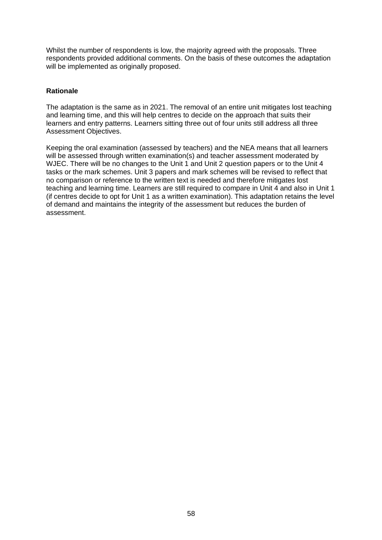Whilst the number of respondents is low, the majority agreed with the proposals. Three respondents provided additional comments. On the basis of these outcomes the adaptation will be implemented as originally proposed.

#### **Rationale**

The adaptation is the same as in 2021. The removal of an entire unit mitigates lost teaching and learning time, and this will help centres to decide on the approach that suits their learners and entry patterns. Learners sitting three out of four units still address all three Assessment Objectives.

Keeping the oral examination (assessed by teachers) and the NEA means that all learners will be assessed through written examination(s) and teacher assessment moderated by WJEC. There will be no changes to the Unit 1 and Unit 2 question papers or to the Unit 4 tasks or the mark schemes. Unit 3 papers and mark schemes will be revised to reflect that no comparison or reference to the written text is needed and therefore mitigates lost teaching and learning time. Learners are still required to compare in Unit 4 and also in Unit 1 (if centres decide to opt for Unit 1 as a written examination). This adaptation retains the level of demand and maintains the integrity of the assessment but reduces the burden of assessment.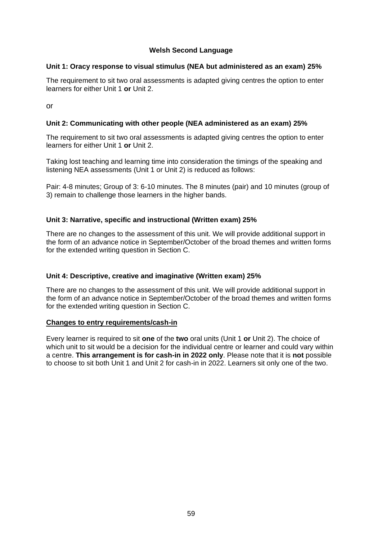#### **Welsh Second Language**

#### **Unit 1: Oracy response to visual stimulus (NEA but administered as an exam) 25%**

The requirement to sit two oral assessments is adapted giving centres the option to enter learners for either Unit 1 **or** Unit 2.

or

#### **Unit 2: Communicating with other people (NEA administered as an exam) 25%**

The requirement to sit two oral assessments is adapted giving centres the option to enter learners for either Unit 1 **or** Unit 2.

Taking lost teaching and learning time into consideration the timings of the speaking and listening NEA assessments (Unit 1 or Unit 2) is reduced as follows:

Pair: 4-8 minutes; Group of 3: 6-10 minutes. The 8 minutes (pair) and 10 minutes (group of 3) remain to challenge those learners in the higher bands.

#### **Unit 3: Narrative, specific and instructional (Written exam) 25%**

There are no changes to the assessment of this unit. We will provide additional support in the form of an advance notice in September/October of the broad themes and written forms for the extended writing question in Section C.

#### **Unit 4: Descriptive, creative and imaginative (Written exam) 25%**

There are no changes to the assessment of this unit. We will provide additional support in the form of an advance notice in September/October of the broad themes and written forms for the extended writing question in Section C.

#### **Changes to entry requirements/cash-in**

Every learner is required to sit **one** of the **two** oral units (Unit 1 **or** Unit 2). The choice of which unit to sit would be a decision for the individual centre or learner and could vary within a centre. **This arrangement is for cash-in in 2022 only**. Please note that it is **not** possible to choose to sit both Unit 1 and Unit 2 for cash-in in 2022. Learners sit only one of the two.